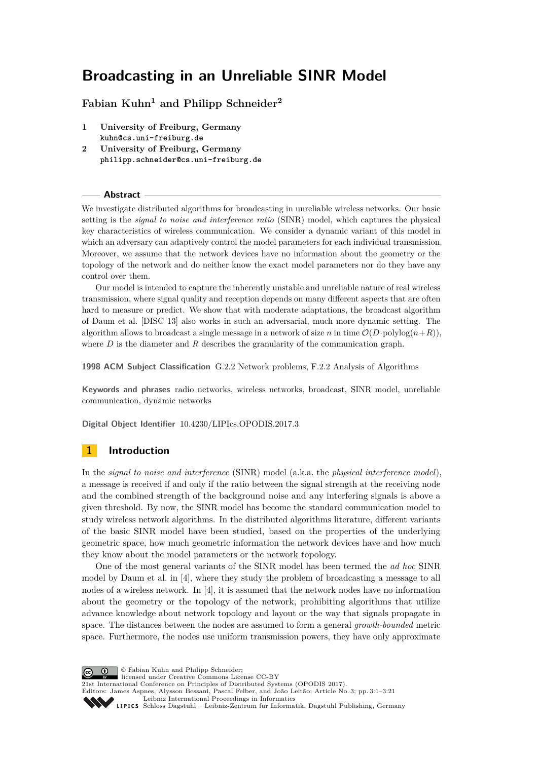# **Broadcasting in an Unreliable SINR Model**

# **Fabian Kuhn<sup>1</sup> and Philipp Schneider<sup>2</sup>**

- **1 University of Freiburg, Germany kuhn@cs.uni-freiburg.de**
- **2 University of Freiburg, Germany philipp.schneider@cs.uni-freiburg.de**

### **Abstract**

We investigate distributed algorithms for broadcasting in unreliable wireless networks. Our basic setting is the *signal to noise and interference ratio* (SINR) model, which captures the physical key characteristics of wireless communication. We consider a dynamic variant of this model in which an adversary can adaptively control the model parameters for each individual transmission. Moreover, we assume that the network devices have no information about the geometry or the topology of the network and do neither know the exact model parameters nor do they have any control over them.

Our model is intended to capture the inherently unstable and unreliable nature of real wireless transmission, where signal quality and reception depends on many different aspects that are often hard to measure or predict. We show that with moderate adaptations, the broadcast algorithm of Daum et al. [DISC 13] also works in such an adversarial, much more dynamic setting. The algorithm allows to broadcast a single message in a network of size *n* in time  $\mathcal{O}(D \cdot \text{polylog}(n+R))$ , where *D* is the diameter and *R* describes the granularity of the communication graph.

**1998 ACM Subject Classification** G.2.2 Network problems, F.2.2 Analysis of Algorithms

**Keywords and phrases** radio networks, wireless networks, broadcast, SINR model, unreliable communication, dynamic networks

**Digital Object Identifier** [10.4230/LIPIcs.OPODIS.2017.3](http://dx.doi.org/10.4230/LIPIcs.OPODIS.2017.3)

# <span id="page-0-0"></span>**1 Introduction**

In the *signal to noise and interference* (SINR) model (a.k.a. the *physical interference model*), a message is received if and only if the ratio between the signal strength at the receiving node and the combined strength of the background noise and any interfering signals is above a given threshold. By now, the SINR model has become the standard communication model to study wireless network algorithms. In the distributed algorithms literature, different variants of the basic SINR model have been studied, based on the properties of the underlying geometric space, how much geometric information the network devices have and how much they know about the model parameters or the network topology.

One of the most general variants of the SINR model has been termed the *ad hoc* SINR model by Daum et al. in [\[4\]](#page-15-0), where they study the problem of broadcasting a message to all nodes of a wireless network. In [\[4\]](#page-15-0), it is assumed that the network nodes have no information about the geometry or the topology of the network, prohibiting algorithms that utilize advance knowledge about network topology and layout or the way that signals propagate in space. The distances between the nodes are assumed to form a general *growth-bounded* metric space. Furthermore, the nodes use uniform transmission powers, they have only approximate

© Fabian Kuhn and Philipp Schneider;  $\boxed{6}$  0 licensed under Creative Commons License CC-BY 21st International Conference on Principles of Distributed Systems (OPODIS 2017). Editors: James Aspnes, Alysson Bessani, Pascal Felber, and João Leitão; Article No. 3; pp. 3:1–3[:21](#page-20-0) [Leibniz International Proceedings in Informatics](http://www.dagstuhl.de/lipics/) [Schloss Dagstuhl – Leibniz-Zentrum für Informatik, Dagstuhl Publishing, Germany](http://www.dagstuhl.de)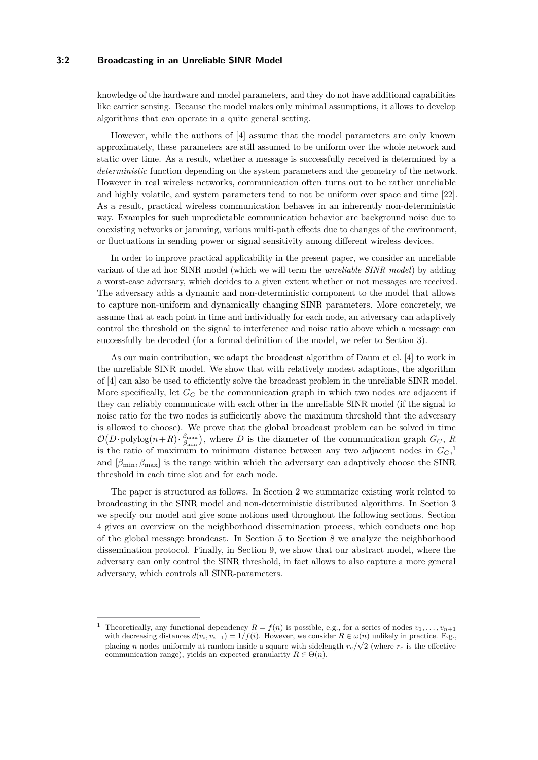### **3:2 Broadcasting in an Unreliable SINR Model**

knowledge of the hardware and model parameters, and they do not have additional capabilities like carrier sensing. Because the model makes only minimal assumptions, it allows to develop algorithms that can operate in a quite general setting.

However, while the authors of [\[4\]](#page-15-0) assume that the model parameters are only known approximately, these parameters are still assumed to be uniform over the whole network and static over time. As a result, whether a message is successfully received is determined by a *deterministic* function depending on the system parameters and the geometry of the network. However in real wireless networks, communication often turns out to be rather unreliable and highly volatile, and system parameters tend to not be uniform over space and time [\[22\]](#page-16-0). As a result, practical wireless communication behaves in an inherently non-deterministic way. Examples for such unpredictable communication behavior are background noise due to coexisting networks or jamming, various multi-path effects due to changes of the environment, or fluctuations in sending power or signal sensitivity among different wireless devices.

In order to improve practical applicability in the present paper, we consider an unreliable variant of the ad hoc SINR model (which we will term the *unreliable SINR model*) by adding a worst-case adversary, which decides to a given extent whether or not messages are received. The adversary adds a dynamic and non-deterministic component to the model that allows to capture non-uniform and dynamically changing SINR parameters. More concretely, we assume that at each point in time and individually for each node, an adversary can adaptively control the threshold on the signal to interference and noise ratio above which a message can successfully be decoded (for a formal definition of the model, we refer to Section [3\)](#page-3-0).

As our main contribution, we adapt the broadcast algorithm of Daum et el. [\[4\]](#page-15-0) to work in the unreliable SINR model. We show that with relatively modest adaptions, the algorithm of [\[4\]](#page-15-0) can also be used to efficiently solve the broadcast problem in the unreliable SINR model. More specifically, let  $G_C$  be the communication graph in which two nodes are adjacent if they can reliably communicate with each other in the unreliable SINR model (if the signal to noise ratio for the two nodes is sufficiently above the maximum threshold that the adversary is allowed to choose). We prove that the global broadcast problem can be solved in time  $\mathcal{O}(D \cdot \text{polylog}(n+R) \cdot \frac{\beta_{\text{max}}}{\beta_{\text{min}}})$ , where *D* is the diameter of the communication graph  $G_C$ , *R* is the ratio of maximum to minimum distance between any two adjacent nodes in  $G_C$ ,<sup>[1](#page-1-0)</sup> and  $\left[\beta_{\text{min}}, \beta_{\text{max}}\right]$  is the range within which the adversary can adaptively choose the SINR threshold in each time slot and for each node.

The paper is structured as follows. In Section [2](#page-2-0) we summarize existing work related to broadcasting in the SINR model and non-deterministic distributed algorithms. In Section [3](#page-3-0) we specify our model and give some notions used throughout the following sections. Section [4](#page-6-0) gives an overview on the neighborhood dissemination process, which conducts one hop of the global message broadcast. In Section [5](#page-7-0) to Section [8](#page-12-0) we analyze the neighborhood dissemination protocol. Finally, in Section [9,](#page-13-0) we show that our abstract model, where the adversary can only control the SINR threshold, in fact allows to also capture a more general adversary, which controls all SINR-parameters.

<span id="page-1-0"></span>Theoretically, any functional dependency  $R = f(n)$  is possible, e.g., for a series of nodes  $v_1, \ldots, v_{n+1}$ with decreasing distances  $d(v_i, v_{i+1}) = 1/f(i)$ . However, we consider  $R \in \omega(n)$  unlikely in practice. E.g., placing *n* nodes uniformly at random inside a square with sidelength  $r_e/\sqrt{2}$  (where  $r_e$  is the effective communication range), yields an expected granularity  $R \in \Theta(n)$ .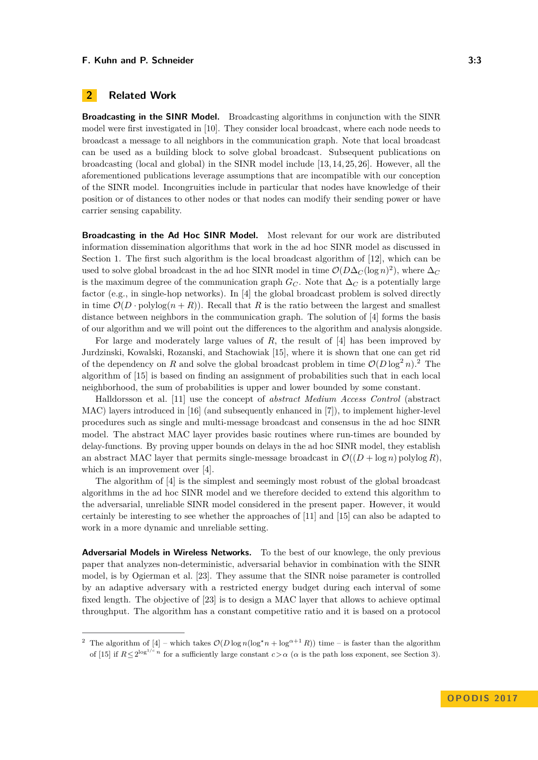# <span id="page-2-0"></span>**2 Related Work**

**Broadcasting in the SINR Model.** Broadcasting algorithms in conjunction with the SINR model were first investigated in [\[10\]](#page-15-1). They consider local broadcast, where each node needs to broadcast a message to all neighbors in the communication graph. Note that local broadcast can be used as a building block to solve global broadcast. Subsequent publications on broadcasting (local and global) in the SINR model include [\[13,](#page-16-1) [14,](#page-16-2) [25,](#page-17-0) [26\]](#page-17-1). However, all the aforementioned publications leverage assumptions that are incompatible with our conception of the SINR model. Incongruities include in particular that nodes have knowledge of their position or of distances to other nodes or that nodes can modify their sending power or have carrier sensing capability.

**Broadcasting in the Ad Hoc SINR Model.** Most relevant for our work are distributed information dissemination algorithms that work in the ad hoc SINR model as discussed in Section [1.](#page-0-0) The first such algorithm is the local broadcast algorithm of [\[12\]](#page-16-3), which can be used to solve global broadcast in the ad hoc SINR model in time  $\mathcal{O}(D\Delta_C(\log n)^2)$ , where  $\Delta_C$ is the maximum degree of the communication graph  $G_C$ . Note that  $\Delta_C$  is a potentially large factor (e.g., in single-hop networks). In [\[4\]](#page-15-0) the global broadcast problem is solved directly in time  $\mathcal{O}(D \cdot \text{polylog}(n + R))$ . Recall that *R* is the ratio between the largest and smallest distance between neighbors in the communication graph. The solution of [\[4\]](#page-15-0) forms the basis of our algorithm and we will point out the differences to the algorithm and analysis alongside.

For large and moderately large values of *R*, the result of [\[4\]](#page-15-0) has been improved by Jurdzinski, Kowalski, Rozanski, and Stachowiak [\[15\]](#page-16-4), where it is shown that one can get rid of the dependency on R and solve the global broadcast problem in time  $\mathcal{O}(D \log^2 n)$  $\mathcal{O}(D \log^2 n)$  $\mathcal{O}(D \log^2 n)$ .<sup>2</sup> The algorithm of [\[15\]](#page-16-4) is based on finding an assignment of probabilities such that in each local neighborhood, the sum of probabilities is upper and lower bounded by some constant.

Halldorsson et al. [\[11\]](#page-16-5) use the concept of *abstract Medium Access Control* (abstract MAC) layers introduced in [\[16\]](#page-16-6) (and subsequently enhanced in [\[7\]](#page-15-2)), to implement higher-level procedures such as single and multi-message broadcast and consensus in the ad hoc SINR model. The abstract MAC layer provides basic routines where run-times are bounded by delay-functions. By proving upper bounds on delays in the ad hoc SINR model, they establish an abstract MAC layer that permits single-message broadcast in  $\mathcal{O}((D + \log n)$  polylog R). which is an improvement over [\[4\]](#page-15-0).

The algorithm of [\[4\]](#page-15-0) is the simplest and seemingly most robust of the global broadcast algorithms in the ad hoc SINR model and we therefore decided to extend this algorithm to the adversarial, unreliable SINR model considered in the present paper. However, it would certainly be interesting to see whether the approaches of [\[11\]](#page-16-5) and [\[15\]](#page-16-4) can also be adapted to work in a more dynamic and unreliable setting.

**Adversarial Models in Wireless Networks.** To the best of our knowlege, the only previous paper that analyzes non-deterministic, adversarial behavior in combination with the SINR model, is by Ogierman et al. [\[23\]](#page-16-7). They assume that the SINR noise parameter is controlled by an adaptive adversary with a restricted energy budget during each interval of some fixed length. The objective of [\[23\]](#page-16-7) is to design a MAC layer that allows to achieve optimal throughput. The algorithm has a constant competitive ratio and it is based on a protocol

<span id="page-2-1"></span><sup>&</sup>lt;sup>2</sup> The algorithm of [\[4\]](#page-15-0) – which takes  $\mathcal{O}(D \log n (\log^* n + \log^{a+1} R))$  time – is faster than the algorithm of [\[15\]](#page-16-4) if  $R \leq 2^{\log^{1/c} n}$  for a sufficiently large constant  $c > \alpha$  ( $\alpha$  is the path loss exponent, see Section [3\)](#page-3-0).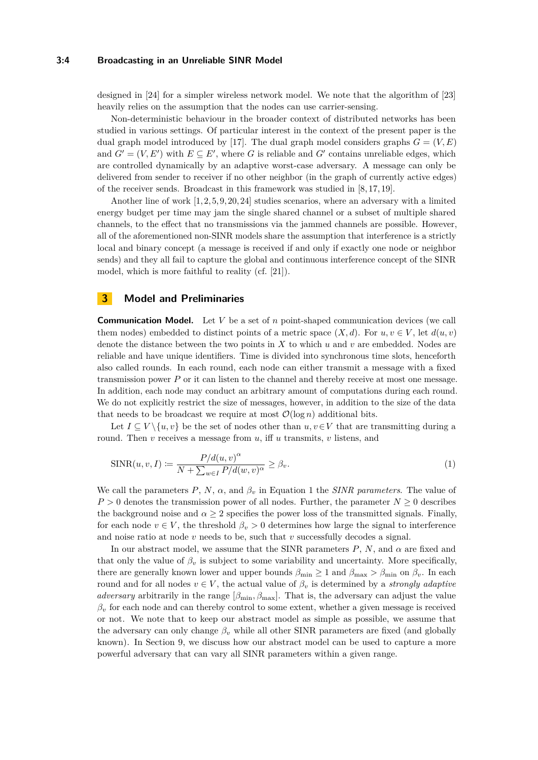#### **3:4 Broadcasting in an Unreliable SINR Model**

designed in [\[24\]](#page-17-2) for a simpler wireless network model. We note that the algorithm of [\[23\]](#page-16-7) heavily relies on the assumption that the nodes can use carrier-sensing.

Non-deterministic behaviour in the broader context of distributed networks has been studied in various settings. Of particular interest in the context of the present paper is the dual graph model introduced by [\[17\]](#page-16-8). The dual graph model considers graphs  $G = (V, E)$ and  $G' = (V, E')$  with  $E \subseteq E'$ , where *G* is reliable and *G'* contains unreliable edges, which are controlled dynamically by an adaptive worst-case adversary. A message can only be delivered from sender to receiver if no other neighbor (in the graph of currently active edges) of the receiver sends. Broadcast in this framework was studied in [\[8,](#page-15-3) [17,](#page-16-8) [19\]](#page-16-9).

Another line of work  $[1, 2, 5, 9, 20, 24]$  $[1, 2, 5, 9, 20, 24]$  $[1, 2, 5, 9, 20, 24]$  $[1, 2, 5, 9, 20, 24]$  $[1, 2, 5, 9, 20, 24]$  $[1, 2, 5, 9, 20, 24]$  studies scenarios, where an adversary with a limited energy budget per time may jam the single shared channel or a subset of multiple shared channels, to the effect that no transmissions via the jammed channels are possible. However, all of the aforementioned non-SINR models share the assumption that interference is a strictly local and binary concept (a message is received if and only if exactly one node or neighbor sends) and they all fail to capture the global and continuous interference concept of the SINR model, which is more faithful to reality (cf. [\[21\]](#page-16-11)).

## <span id="page-3-0"></span>**3 Model and Preliminaries**

**Communication Model.** Let *V* be a set of *n* point-shaped communication devices (we call them nodes) embedded to distinct points of a metric space  $(X, d)$ . For  $u, v \in V$ , let  $d(u, v)$ denote the distance between the two points in *X* to which *u* and *v* are embedded. Nodes are reliable and have unique identifiers. Time is divided into synchronous time slots, henceforth also called rounds. In each round, each node can either transmit a message with a fixed transmission power *P* or it can listen to the channel and thereby receive at most one message. In addition, each node may conduct an arbitrary amount of computations during each round. We do not explicitly restrict the size of messages, however, in addition to the size of the data that needs to be broadcast we require at most  $\mathcal{O}(\log n)$  additional bits.

Let  $I \subseteq V \setminus \{u, v\}$  be the set of nodes other than  $u, v \in V$  that are transmitting during a round. Then *v* receives a message from *u*, iff *u* transmits, *v* listens, and

<span id="page-3-1"></span>
$$
\text{SINR}(u, v, I) := \frac{P/d(u, v)^{\alpha}}{N + \sum_{w \in I} P/d(w, v)^{\alpha}} \ge \beta_v.
$$
\n
$$
(1)
$$

We call the parameters  $P$ ,  $N$ ,  $\alpha$ , and  $\beta_v$  in Equation [1](#page-3-1) the *SINR parameters*. The value of  $P > 0$  denotes the transmission power of all nodes. Further, the parameter  $N \geq 0$  describes the background noise and  $\alpha \geq 2$  specifies the power loss of the transmitted signals. Finally, for each node  $v \in V$ , the threshold  $\beta_v > 0$  determines how large the signal to interference and noise ratio at node *v* needs to be, such that *v* successfully decodes a signal.

In our abstract model, we assume that the SINR parameters  $P$ ,  $N$ , and  $\alpha$  are fixed and that only the value of  $\beta_v$  is subject to some variability and uncertainty. More specifically, there are generally known lower and upper bounds  $\beta_{\min} \ge 1$  and  $\beta_{\max} > \beta_{\min}$  on  $\beta_v$ . In each round and for all nodes  $v \in V$ , the actual value of  $\beta_v$  is determined by a *strongly adaptive adversary* arbitrarily in the range  $[\beta_{\min}, \beta_{\max}]$ . That is, the adversary can adjust the value  $\beta_v$  for each node and can thereby control to some extent, whether a given message is received or not. We note that to keep our abstract model as simple as possible, we assume that the adversary can only change  $\beta$ <sup>*v*</sup> while all other SINR parameters are fixed (and globally known). In Section [9,](#page-13-0) we discuss how our abstract model can be used to capture a more powerful adversary that can vary all SINR parameters within a given range.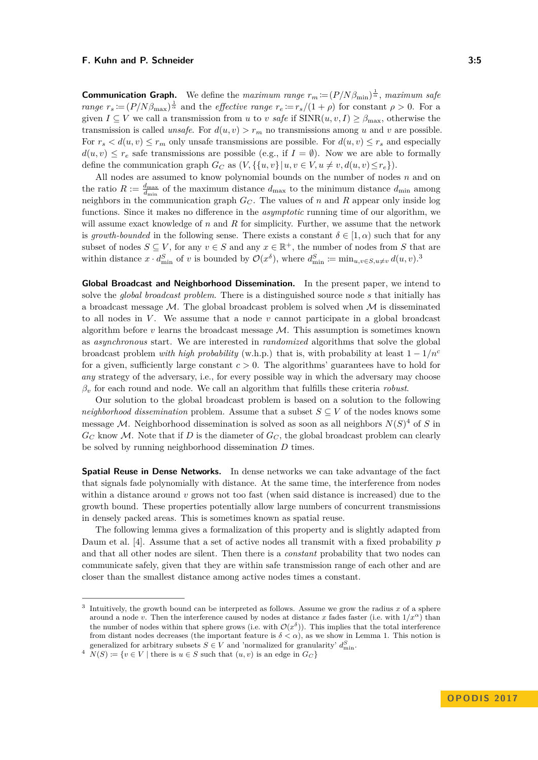**Communication Graph.** We define the *maximum range*  $r_m \coloneqq (P/N\beta_{\min})^{\frac{1}{\alpha}}$ , *maximum safe range*  $r_s := (P/N\beta_{\text{max}})^{\frac{1}{\alpha}}$  and the *effective range*  $r_e := r_s/(1+\rho)$  for constant  $\rho > 0$ . For a given  $I \subseteq V$  we call a transmission from *u* to *v* safe if  $SINR(u, v, I) \geq \beta_{\text{max}}$ , otherwise the transmission is called *unsafe*. For  $d(u, v) > r_m$  no transmissions among *u* and *v* are possible. For  $r_s < d(u, v) \le r_m$  only unsafe transmissions are possible. For  $d(u, v) \le r_s$  and especially  $d(u, v) \leq r_e$  safe transmissions are possible (e.g., if  $I = \emptyset$ ). Now we are able to formally define the communication graph  $G_C$  as  $(V, \{\{u, v\} | u, v \in V, u \neq v, d(u, v) \leq r_e\}).$ 

All nodes are assumed to know polynomial bounds on the number of nodes *n* and on the ratio  $R := \frac{d_{\text{max}}}{d_{\text{min}}}$  of the maximum distance  $d_{\text{max}}$  to the minimum distance  $d_{\text{min}}$  among neighbors in the communication graph  $G_C$ . The values of *n* and *R* appear only inside log functions. Since it makes no difference in the *asymptotic* running time of our algorithm, we will assume exact knowledge of *n* and *R* for simplicity. Further, we assume that the network is *growth-bounded* in the following sense. There exists a constant  $\delta \in [1, \alpha)$  such that for any subset of nodes  $S \subseteq V$ , for any  $v \in S$  and any  $x \in \mathbb{R}^+$ , the number of nodes from  $S$  that are within distance  $x \cdot d_{\min}^S$  of *v* is bounded by  $\mathcal{O}(x^\delta)$ , where  $d_{\min}^S \coloneqq \min_{u,v \in S, u \neq v} d(u,v)$ .

**Global Broadcast and Neighborhood Dissemination.** In the present paper, we intend to solve the *global broadcast problem*. There is a distinguished source node *s* that initially has a broadcast message  $\mathcal M$ . The global broadcast problem is solved when  $\mathcal M$  is disseminated to all nodes in  $V$ . We assume that a node  $v$  cannot participate in a global broadcast algorithm before  $v$  learns the broadcast message  $M$ . This assumption is sometimes known as *asynchronous* start. We are interested in *randomized* algorithms that solve the global broadcast problem *with high probability* (w.h.p.) that is, with probability at least 1 − 1*/n<sup>c</sup>* for a given, sufficiently large constant  $c > 0$ . The algorithms' guarantees have to hold for *any* strategy of the adversary, i.e., for every possible way in which the adversary may choose *β<sup>v</sup>* for each round and node. We call an algorithm that fulfills these criteria *robust*.

Our solution to the global broadcast problem is based on a solution to the following *neighborhood dissemination* problem. Assume that a subset  $S \subseteq V$  of the nodes knows some message M. Neighborhood dissemination is solved as soon as all neighbors  $N(S)^4$  $N(S)^4$  of *S* in  $G_C$  know M. Note that if D is the diameter of  $G_C$ , the global broadcast problem can clearly be solved by running neighborhood dissemination *D* times.

**Spatial Reuse in Dense Networks.** In dense networks we can take advantage of the fact that signals fade polynomially with distance. At the same time, the interference from nodes within a distance around *v* grows not too fast (when said distance is increased) due to the growth bound. These properties potentially allow large numbers of concurrent transmissions in densely packed areas. This is sometimes known as spatial reuse.

The following lemma gives a formalization of this property and is slightly adapted from Daum et al. [\[4\]](#page-15-0). Assume that a set of active nodes all transmit with a fixed probability *p* and that all other nodes are silent. Then there is a *constant* probability that two nodes can communicate safely, given that they are within safe transmission range of each other and are closer than the smallest distance among active nodes times a constant.

<span id="page-4-0"></span><sup>3</sup> Intuitively, the growth bound can be interpreted as follows. Assume we grow the radius  $x$  of a sphere around a node *v*. Then the interference caused by nodes at distance *x* fades faster (i.e. with  $1/x^{\alpha}$ ) than the number of nodes within that sphere grows (i.e. with  $\mathcal{O}(x^{\delta})$ ). This implies that the total interference from distant nodes decreases (the important feature is  $\delta < \alpha$ ), as we show in Lemma [1.](#page-5-0) This notion is generalized for arbitrary subsets  $S \in V$  and 'normalized for granularity'  $d_{\min}^S$ .

<span id="page-4-1"></span> $N(S) := \{v \in V \mid \text{there is } u \in S \text{ such that } (u, v) \text{ is an edge in } G_C\}$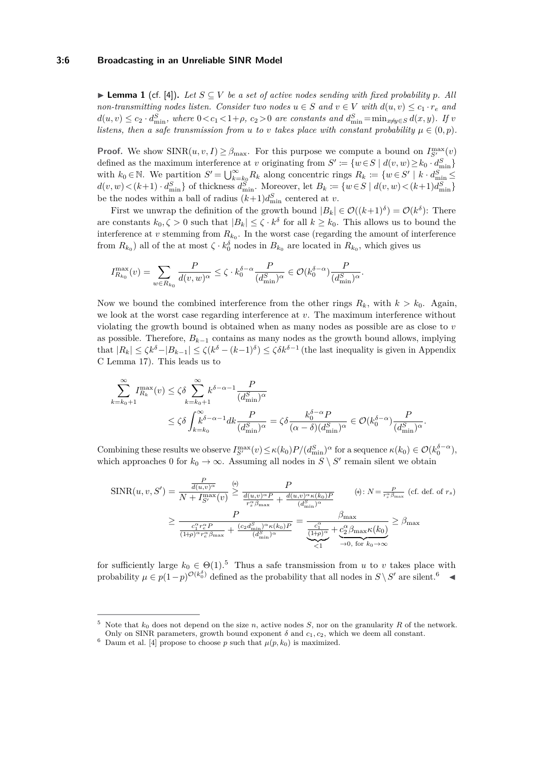#### **3:6 Broadcasting in an Unreliable SINR Model**

<span id="page-5-0"></span>**► Lemma 1** (cf. [\[4\]](#page-15-0)). Let  $S ⊆ V$  be a set of active nodes sending with fixed probability p. All *non-transmitting nodes listen. Consider two nodes*  $u \in S$  *and*  $v \in V$  *with*  $d(u, v) \leq c_1 \cdot r_e$  *and*  $d(u, v) \le c_2 \cdot d_{\min}^S$ , where  $0 < c_1 < 1 + \rho$ ,  $c_2 > 0$  are constants and  $d_{\min}^S = \min_{x \neq y \in S} d(x, y)$ . If v *listens, then a safe transmission from <i>u to v takes place with constant probability*  $\mu \in (0, p)$ *.* 

**Proof.** We show  $\text{SINR}(u, v, I) \geq \beta_{\text{max}}$ . For this purpose we compute a bound on  $I_{S'}^{\text{max}}(v)$ defined as the maximum interference at *v* originating from  $S' := \{w \in S \mid d(v, w) \geq k_0 \cdot d_{\min}^S\}$ with  $k_0 \in \mathbb{N}$ . We partition  $S' = \bigcup_{k=k_0}^{\infty} R_k$  along concentric rings  $R_k := \{w \in S' \mid k \cdot d_{\min}^S \leq$  $d(v, w) < (k+1) \cdot d_{\min}^S$  of thickness  $d_{\min}^S$ . Moreover, let  $B_k := \{w \in S \mid d(v, w) < (k+1)d_{\min}^S\}$ be the nodes within a ball of radius  $(k+1)d_{\min}^S$  centered at *v*.

First we unwrap the definition of the growth bound  $|B_k| \in \mathcal{O}((k+1)^{\delta}) = \mathcal{O}(k^{\delta})$ : There are constants  $k_0, \zeta > 0$  such that  $|B_k| \leq \zeta \cdot k^{\delta}$  for all  $k \geq k_0$ . This allows us to bound the interference at  $v$  stemming from  $R_{k_0}$ . In the worst case (regarding the amount of interference from  $R_{k_0}$ ) all of the at most  $\zeta \cdot k_0^{\delta}$  nodes in  $B_{k_0}$  are located in  $R_{k_0}$ , which gives us

$$
I_{R_{k_0}}^{\max}(v)=\sum_{w\in R_{k_0}}\frac{P}{d(v,w)^\alpha}\leq \zeta\cdot k_0^{\delta-\alpha}\frac{P}{(d_{\min}^S)^\alpha}\in \mathcal{O}(k_0^{\delta-\alpha})\frac{P}{(d_{\min}^S)^\alpha}.
$$

Now we bound the combined interference from the other rings  $R_k$ , with  $k > k_0$ . Again, we look at the worst case regarding interference at *v*. The maximum interference without violating the growth bound is obtained when as many nodes as possible are as close to *v* as possible. Therefore,  $B_{k-1}$  contains as many nodes as the growth bound allows, implying that  $|R_k| \leq \zeta k^{\delta} - |B_{k-1}| \leq \zeta (k^{\delta} - (k-1)^{\delta}) \leq \zeta \delta k^{\delta-1}$  (the last inequality is given in Appendix [C](#page-20-1) Lemma [17\)](#page-20-2). This leads us to

$$
\sum_{k=k_0+1}^{\infty} I_{R_k}^{\max}(v) \leq \zeta \delta \sum_{k=k_0+1}^{\infty} k^{\delta-\alpha-1} \frac{P}{(d_{\min}^S)^{\alpha}}
$$
  

$$
\leq \zeta \delta \int_{k=k_0}^{\infty} k^{\delta-\alpha-1} dk \frac{P}{(d_{\min}^S)^{\alpha}} = \zeta \delta \frac{k_0^{\delta-\alpha} P}{(\alpha-\delta)(d_{\min}^S)^{\alpha}} \in \mathcal{O}(k_0^{\delta-\alpha}) \frac{P}{(d_{\min}^S)^{\alpha}}.
$$

Combining these results we observe  $I_{S'}^{\max}(v) \leq \kappa(k_0)P/(d_{\min}^S)^{\alpha}$  for a sequence  $\kappa(k_0) \in \mathcal{O}(k_0^{\delta-\alpha})$ , which approaches 0 for  $k_0 \to \infty$ . Assuming all nodes in  $S \setminus S'$  remain silent we obtain

$$
\begin{split} \text{SINR}(u, v, S') &= \frac{\frac{P}{d(u, v)^{\alpha}}}{N + I_{S'}^{\text{max}}(v)} \overset{\text{(*)}}{\geq} \frac{P}{\frac{d(u, v)^{\alpha} P}{r_{s}^{\alpha} \beta_{\text{max}}} + \frac{d(u, v)^{\alpha} \kappa(k_{0}) P}{(d_{\min}^S)^{\alpha}}}
$$
\n
$$
\geq \frac{P}{\frac{c_{1}^{\alpha} r_{e}^{\alpha} P}{(1 + \rho)^{\alpha} r_{e}^{\alpha} \beta_{\text{max}}} + \frac{(c_{2} d_{\min}^S)^{\alpha} \kappa(k_{0}) P}{(d_{\min}^S)^{\alpha}}} = \frac{\beta_{\text{max}}}{\frac{c_{1}^{\alpha}}{(1 + \rho)^{\alpha}} + \frac{c_{2}^{\alpha} \beta_{\text{max}} \kappa(k_{0})}{(1 + \rho)^{\alpha} r_{e}^{\alpha} \beta_{\text{max}}} + \frac{(c_{2} d_{\min}^S)^{\alpha} \kappa(k_{0}) P}{(d_{\min}^S)^{\alpha}}} = \frac{\beta_{\text{max}}}{\frac{c_{1}^{\alpha}}{1 + \rho^{\alpha}} + \frac{c_{2}^{\alpha} \beta_{\text{max}} \kappa(k_{0})}{\frac{c_{1}^S}{1 + \rho^{\alpha} \kappa} + \frac{c_{2}^S \beta_{\text{max}} \kappa(k_{0})}{(1 + \rho)^{\alpha} r_{e}^{\alpha} \beta_{\text{max}}} + \frac{c_{2}^S \kappa(k_{0}) P}{(1 + \rho)^{\alpha} r_{e}^{\alpha} \beta_{\text{max}}} \end{split}
$$

for sufficiently large  $k_0 \in \Theta(1)$ .<sup>[5](#page-5-1)</sup> Thus a safe transmission from *u* to *v* takes place with probability  $\mu \in p(1-p)^{\mathcal{O}(k_0^{\delta})}$  defined as the probability that all nodes in  $S \setminus S'$  are silent.<sup>[6](#page-5-2)</sup>

<span id="page-5-1"></span><sup>5</sup> Note that *k*<sup>0</sup> does not depend on the size *n*, active nodes *S*, nor on the granularity *R* of the network. Only on SINR parameters, growth bound exponent  $\delta$  and  $c_1, c_2$ , which we deem all constant.

<span id="page-5-2"></span>

<sup>&</sup>lt;sup>6</sup> Daum et al. [\[4\]](#page-15-0) propose to choose *p* such that  $\mu(p, k_0)$  is maximized.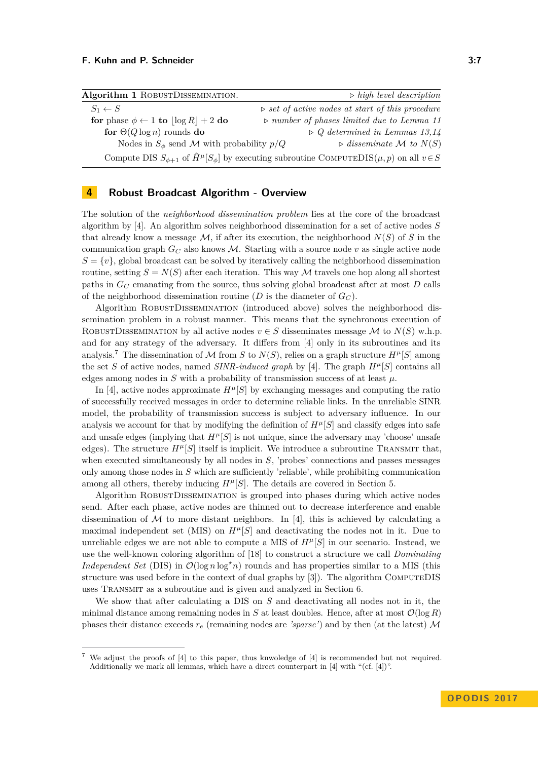<span id="page-6-2"></span>

| Algorithm 1 ROBUSTDISSEMINATION.                                                                                       | $\triangleright$ high level description                         |  |
|------------------------------------------------------------------------------------------------------------------------|-----------------------------------------------------------------|--|
| $S_1 \leftarrow S$                                                                                                     | $\triangleright$ set of active nodes at start of this procedure |  |
| for phase $\phi \leftarrow 1$ to $ \log R  + 2$ do                                                                     | $\triangleright$ number of phases limited due to Lemma 11       |  |
| for $\Theta(Q \log n)$ rounds do                                                                                       | $\triangleright Q$ determined in Lemmas 13,14                   |  |
| Nodes in $S_{\phi}$ send M with probability $p/Q$                                                                      | $\triangleright$ disseminate M to $N(S)$                        |  |
| Compute DIS $S_{\phi+1}$ of $\tilde{H}^{\mu}[S_{\phi}]$ by executing subroutine COMPUTEDIS $(\mu, p)$ on all $v \in S$ |                                                                 |  |

# <span id="page-6-0"></span>**4 Robust Broadcast Algorithm - Overview**

The solution of the *neighborhood dissemination problem* lies at the core of the broadcast algorithm by [\[4\]](#page-15-0). An algorithm solves neighborhood dissemination for a set of active nodes *S* that already know a message  $M$ , if after its execution, the neighborhood  $N(S)$  of *S* in the communication graph  $G_C$  also knows M. Starting with a source node v as single active node  $S = \{v\}$ , global broadcast can be solved by iteratively calling the neighborhood dissemination routine, setting  $S = N(S)$  after each iteration. This way M travels one hop along all shortest paths in *G<sup>C</sup>* emanating from the source, thus solving global broadcast after at most *D* calls of the neighborhood dissemination routine (*D* is the diameter of  $G_C$ ).

Algorithm RobustDissemination (introduced above) solves the neighborhood dissemination problem in a robust manner. This means that the synchronous execution of ROBUSTDISSEMINATION by all active nodes  $v \in S$  disseminates message M to  $N(S)$  w.h.p. and for any strategy of the adversary. It differs from [\[4\]](#page-15-0) only in its subroutines and its analysis.<sup>[7](#page-6-1)</sup> The dissemination of M from *S* to  $N(S)$ , relies on a graph structure  $H^{\mu}[S]$  among the set *S* of active nodes, named *SINR-induced graph* by [\[4\]](#page-15-0). The graph  $H^{\mu}[S]$  contains all edges among nodes in  $S$  with a probability of transmission success of at least  $\mu$ .

In [\[4\]](#page-15-0), active nodes approximate  $H^{\mu}[S]$  by exchanging messages and computing the ratio of successfully received messages in order to determine reliable links. In the unreliable SINR model, the probability of transmission success is subject to adversary influence. In our analysis we account for that by modifying the definition of  $H^{\mu}[S]$  and classify edges into safe and unsafe edges (implying that  $H^{\mu}[S]$  is not unique, since the adversary may 'choose' unsafe edges). The structure  $H^{\mu}[S]$  itself is implicit. We introduce a subroutine TRANSMIT that, when executed simultaneously by all nodes in *S*, 'probes' connections and passes messages only among those nodes in *S* which are sufficiently 'reliable', while prohibiting communication among all others, thereby inducing  $H^{\mu}[S]$ . The details are covered in Section [5.](#page-7-0)

Algorithm RobustDissemination is grouped into phases during which active nodes send. After each phase, active nodes are thinned out to decrease interference and enable dissemination of  $M$  to more distant neighbors. In [\[4\]](#page-15-0), this is achieved by calculating a maximal independent set (MIS) on  $H^{\mu}[S]$  and deactivating the nodes not in it. Due to unreliable edges we are not able to compute a MIS of  $H^{\mu}[S]$  in our scenario. Instead, we use the well-known coloring algorithm of [\[18\]](#page-16-12) to construct a structure we call *Dominating Independent Set* (DIS) in  $\mathcal{O}(\log n \log^* n)$  rounds and has properties similar to a MIS (this structure was used before in the context of dual graphs by [\[3\]](#page-15-8)). The algorithm ComputeDIS uses Transmit as a subroutine and is given and analyzed in Section [6.](#page-9-0)

We show that after calculating a DIS on *S* and deactivating all nodes not in it, the minimal distance among remaining nodes in *S* at least doubles. Hence, after at most  $\mathcal{O}(\log R)$ phases their distance exceeds  $r_e$  (remaining nodes are *'sparse'*) and by then (at the latest) M

<span id="page-6-1"></span>We adjust the proofs of [\[4\]](#page-15-0) to this paper, thus knwoledge of [4] is recommended but not required. Additionally we mark all lemmas, which have a direct counterpart in [\[4\]](#page-15-0) with "(cf. [\[4\]](#page-15-0))".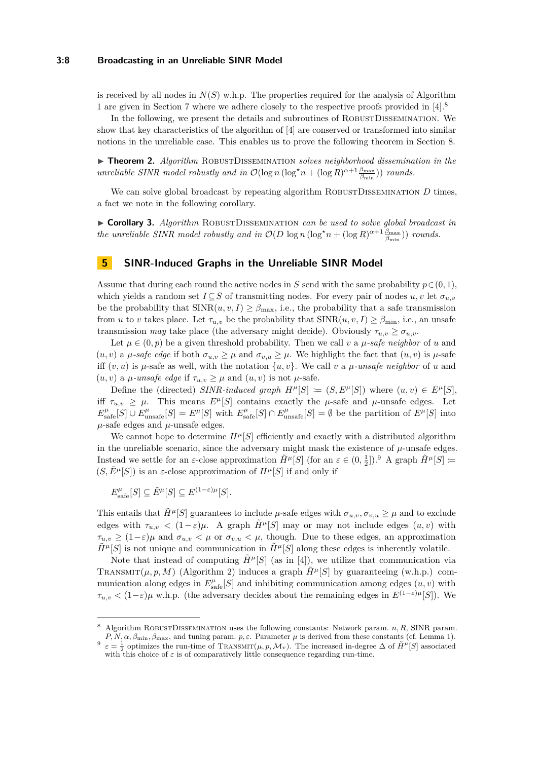#### **3:8 Broadcasting in an Unreliable SINR Model**

is received by all nodes in  $N(S)$  w.h.p. The properties required for the analysis of Algorithm [1](#page-6-2) are given in Section [7](#page-11-1) where we adhere closely to the respective proofs provided in [\[4\]](#page-15-0).[8](#page-7-1)

In the following, we present the details and subroutines of RobustDissemination. We show that key characteristics of the algorithm of [\[4\]](#page-15-0) are conserved or transformed into similar notions in the unreliable case. This enables us to prove the following theorem in Section [8.](#page-12-0)

<span id="page-7-3"></span>▶ **Theorem 2.** *Algorithm* ROBUSTDISSEMINATION *solves neighborhood dissemination in the unreliable SINR model robustly and in*  $\mathcal{O}(\log n (\log^* n + (\log R)^{\alpha+1} \frac{\beta_{\max}}{\beta_{\min}}))$  *rounds.* 

We can solve global broadcast by repeating algorithm ROBUSTDISSEMINATION *D* times, a fact we note in the following corollary.

▶ Corollary 3. *Algorithm* ROBUSTDISSEMINATION *can be used to solve global broadcast in the unreliable SINR model robustly and in*  $\mathcal{O}(D \log n (\log^* n + (\log R)^{\alpha+1} \frac{\beta_{\max}}{\beta_{\min}}))$  *rounds.* 

### <span id="page-7-0"></span>**5 SINR-Induced Graphs in the Unreliable SINR Model**

Assume that during each round the active nodes in *S* send with the same probability  $p \in (0, 1)$ , which yields a random set  $I \subseteq S$  of transmitting nodes. For every pair of nodes  $u, v$  let  $\sigma_{u,v}$ be the probability that  $\text{SINR}(u, v, I) \geq \beta_{\text{max}}$ , i.e., the probability that a safe transmission from *u* to *v* takes place. Let  $\tau_{u,v}$  be the probability that  $SINR(u, v, I) \geq \beta_{\min}$ , i.e., an unsafe transmission *may* take place (the adversary might decide). Obviously  $\tau_{u,v} \geq \sigma_{u,v}$ .

Let  $\mu \in (0, p)$  be a given threshold probability. Then we call *v* a  $\mu$ -safe neighbor of *u* and  $(u, v)$  a  $\mu$ -safe edge if both  $\sigma_{u,v} \geq \mu$  and  $\sigma_{v,u} \geq \mu$ . We highlight the fact that  $(u, v)$  is  $\mu$ -safe iff  $(v, u)$  is  $\mu$ -safe as well, with the notation  $\{u, v\}$ . We call  $v$  a  $\mu$ -unsafe neighbor of  $u$  and  $(u, v)$  a *µ*-unsafe edge if  $\tau_{u,v} \geq \mu$  and  $(u, v)$  is not *µ*-safe.

Define the (directed) *SINR-induced graph*  $H^{\mu}[S] := (S, E^{\mu}[S])$  where  $(u, v) \in E^{\mu}[S]$ . iff  $\tau_{u,v} \geq \mu$ . This means  $E^{\mu}[S]$  contains exactly the  $\mu$ -safe and  $\mu$ -unsafe edges. Let  $E_{\text{safe}}^{\mu}[S] \cup E_{\text{unsafe}}^{\mu}[S] = E^{\mu}[S]$  with  $E_{\text{safe}}^{\mu}[S] \cap E_{\text{unsafe}}^{\mu}[S] = \emptyset$  be the partition of  $E^{\mu}[S]$  into  $\mu$ -safe edges and  $\mu$ -unsafe edges.

We cannot hope to determine  $H^{\mu}[S]$  efficiently and exactly with a distributed algorithm in the unreliable scenario, since the adversary might mask the existence of  $\mu$ -unsafe edges. Instead we settle for an  $\varepsilon$ -close approximation  $\tilde{H}^{\mu}[S]$  (for an  $\varepsilon \in (0, \frac{1}{2}]$ ).<sup>[9](#page-7-2)</sup> A graph  $\tilde{H}^{\mu}[S] \coloneqq$  $(S, \tilde{E}^{\mu}[S])$  is an  $\varepsilon$ -close approximation of  $H^{\mu}[S]$  if and only if

 $E_{\text{safe}}^{\mu}[S] \subseteq \tilde{E}^{\mu}[S] \subseteq E^{(1-\varepsilon)\mu}[S]$ .

This entails that  $\hat{H}^{\mu}[S]$  guarantees to include  $\mu$ -safe edges with  $\sigma_{u,v}, \sigma_{v,u} \geq \mu$  and to exclude edges with  $\tau_{u,v}$  <  $(1-\varepsilon)\mu$ . A graph  $\tilde{H}^{\mu}[S]$  may or may not include edges  $(u, v)$  with  $\tau_{u,v} \geq (1-\varepsilon)\mu$  and  $\sigma_{u,v} < \mu$  or  $\sigma_{v,u} < \mu$ , though. Due to these edges, an approximation  $\tilde{H}^{\mu}[S]$  is not unique and communication in  $\tilde{H}^{\mu}[S]$  along these edges is inherently volatile.

Note that instead of computing  $\tilde{H}^{\mu}[S]$  (as in [\[4\]](#page-15-0)), we utilize that communication via TRANSMIT( $\mu, p, M$ ) (Algorithm [2\)](#page-8-0) induces a graph  $\tilde{H}^{\mu}[S]$  by guaranteeing (w.h.p.) communication along edges in  $E_{\text{safe}}^{\mu}[S]$  and inhibiting communication among edges  $(u, v)$  with *τ*<sub>*u,v*</sub>  $\lt$  (1−*ε*) $\mu$  w.h.p. (the adversary decides about the remaining edges in  $E^{(1-\varepsilon)\mu}[S]$ ). We

<span id="page-7-1"></span><sup>8</sup> Algorithm RobustDissemination uses the following constants: Network param. *n, R*, SINR param. *P, N, α, β*min*, β*max, and tuning param. *p, ε*. Parameter *µ* is derived from these constants (cf. Lemma [1\)](#page-5-0).

<span id="page-7-2"></span><sup>9</sup>  $\varepsilon = \frac{1}{2}$  optimizes the run-time of TRANSMIT $(\mu, p, \mathcal{M}_v)$ . The increased in-degree  $\Delta$  of  $\tilde{H}^{\mu}[S]$  associated with this choice of  $\varepsilon$  is of comparatively little consequence regarding run-time.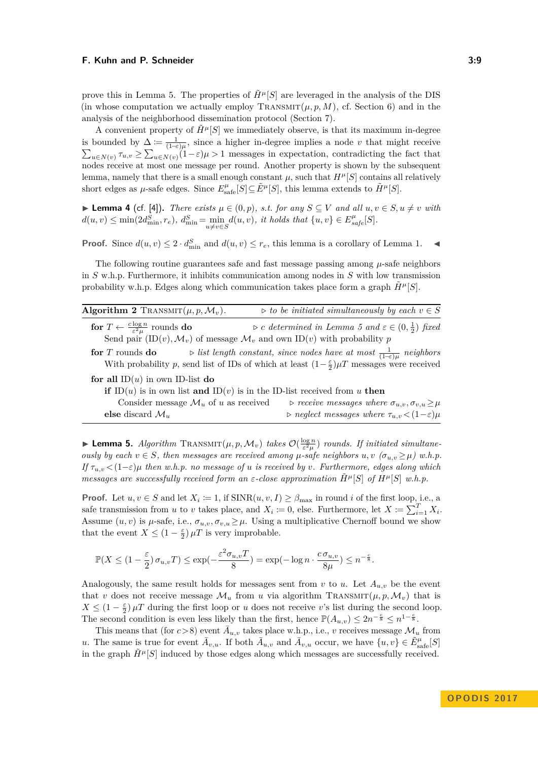prove this in Lemma [5.](#page-8-1) The properties of  $\tilde{H}^{\mu}[S]$  are leveraged in the analysis of the DIS (in whose computation we actually employ  $\text{Transmtr}(\mu, p, M)$ , cf. Section [6\)](#page-9-0) and in the analysis of the neighborhood dissemination protocol (Section [7\)](#page-11-1).

A convenient property of  $\tilde{H}^{\mu}[S]$  we immediately observe, is that its maximum in-degree is bounded by  $\Delta := \frac{1}{(1-\epsilon)\mu}$ , since a higher in-degree implies a node *v* that might receive  $\sum_{u \in N(v)} \tau_{u,v} \geq \sum_{u \in N(v)} (1-\varepsilon)\mu > 1$  messages in expectation, contradicting the fact that nodes receive at most one message per round. Another property is shown by the subsequent lemma, namely that there is a small enough constant  $\mu$ , such that  $H^{\mu}[S]$  contains all relatively short edges as  $\mu$ -safe edges. Since  $E_{\text{safe}}^{\mu}[S] \subseteq \tilde{E}^{\mu}[S]$ , this lemma extends to  $\tilde{H}^{\mu}[S]$ .

<span id="page-8-2"></span>▶ **Lemma 4** (cf. [\[4\]](#page-15-0)). *There exists*  $\mu \in (0, p)$ *, s.t. for any*  $S \subseteq V$  *and all*  $u, v \in S$ *,*  $u \neq v$  *with*  $d(u, v) \le \min(2d_{\min}^S, r_e), d_{\min}^S = \min_{u \ne v \in S} d(u, v),$  it holds that  $\{u, v\} \in E_{safe}^{\mu}[S].$ 

**Proof.** Since  $d(u, v) \leq 2 \cdot d_{\min}^S$  and  $d(u, v) \leq r_e$ , this lemma is a corollary of Lemma [1.](#page-5-0)

The following routine guarantees safe and fast message passing among *µ*-safe neighbors in *S* w.h.p. Furthermore, it inhibits communication among nodes in *S* with low transmission probability w.h.p. Edges along which communication takes place form a graph  $H^{\mu}[S]$ .

<span id="page-8-0"></span>

| Algorithm 2 TRANSMIT $(\mu, p, \mathcal{M}_v)$ .                                                  | $\triangleright$ to be initiated simultaneously by each $v \in S$                                              |  |
|---------------------------------------------------------------------------------------------------|----------------------------------------------------------------------------------------------------------------|--|
| for $T \leftarrow \frac{c \log n}{\epsilon^2 u}$ rounds do                                        | $\triangleright c$ determined in Lemma 5 and $\varepsilon \in (0, \frac{1}{2})$ fixed                          |  |
| Send pair $(ID(v), \mathcal{M}_v)$ of message $\mathcal{M}_v$ and own ID(v) with probability p    |                                                                                                                |  |
| for $T$ rounds do                                                                                 | $\triangleright$ list length constant, since nodes have at most $\frac{1}{(1-\epsilon)u}$ neighbors            |  |
|                                                                                                   | With probability p, send list of IDs of which at least $(1-\frac{\varepsilon}{2})\mu T$ messages were received |  |
| for all $ID(u)$ in own ID-list do                                                                 |                                                                                                                |  |
| if ID( <i>u</i> ) is in own list and ID( <i>v</i> ) is in the ID-list received from <i>u</i> then |                                                                                                                |  |
| Consider message $\mathcal{M}_u$ of u as received                                                 | $\triangleright$ receive messages where $\sigma_{u,v}, \sigma_{v,u} \geq \mu$                                  |  |
| else discard $\mathcal{M}_u$                                                                      | $\rho$ neglect messages where $\tau_{u,v} < (1-\varepsilon)\mu$                                                |  |

<span id="page-8-1"></span>**Lemma 5.** *Algorithm*  $\text{TRANSMIT}(\mu, p, \mathcal{M}_v)$  *takes*  $\mathcal{O}(\frac{\log n}{\varepsilon^2 \mu})$  *rounds. If initiated simultaneously by each*  $v \in S$ *, then messages are received among*  $\mu$ -safe neighbors  $u, v \, (\sigma_{u,v} \geq \mu)$  w.h.p. *If*  $\tau_{u,v}$  <  $(1-\varepsilon)\mu$  *then w.h.p. no message of u is received by v. Furthermore, edges along which messages are successfully received form an*  $\varepsilon$ *-close approximation*  $\tilde{H}^{\mu}[S]$  *of*  $H^{\mu}[S]$  *w.h.p.* 

**Proof.** Let  $u, v \in S$  and let  $X_i := 1$ , if  $\text{SINR}(u, v, I) \geq \beta_{\text{max}}$  in round *i* of the first loop, i.e., a safe transmission from *u* to *v* takes place, and  $X_i := 0$ , else. Furthermore, let  $X := \sum_{i=1}^{T} X_i$ . Assume  $(u, v)$  is  $\mu$ -safe, i.e.,  $\sigma_{u,v}, \sigma_{v,u} \geq \mu$ . Using a multiplicative Chernoff bound we show that the event  $X \leq (1 - \frac{\varepsilon}{2}) \mu T$  is very improbable.

$$
\mathbb{P}(X \le (1 - \frac{\varepsilon}{2}) \sigma_{u,v} T) \le \exp(-\frac{\varepsilon^2 \sigma_{u,v} T}{8}) = \exp(-\log n \cdot \frac{c \sigma_{u,v}}{8\mu}) \le n^{-\frac{c}{8}}.
$$

Analogously, the same result holds for messages sent from *v* to *u*. Let  $A_{u,v}$  be the event that *v* does not receive message  $\mathcal{M}_u$  from *u* via algorithm TRANSMIT $(\mu, p, \mathcal{M}_v)$  that is  $X \leq (1 - \frac{\varepsilon}{2}) \mu T$  during the first loop or *u* does not receive *v*'s list during the second loop. The second condition is even less likely than the first, hence  $\mathbb{P}(A_{u,v}) \leq 2n^{-\frac{c}{8}} \leq n^{1-\frac{c}{8}}$ .

This means that (for  $c > 8$ ) event  $\overline{A}_{u,v}$  takes place w.h.p., i.e., *v* receives message  $\mathcal{M}_u$  from *u*. The same is true for event  $\bar{A}_{v,u}$ . If both  $\bar{A}_{u,v}$  and  $\bar{A}_{v,u}$  occur, we have  $\{u, v\} \in \tilde{E}_{\text{safe}}^{\mu}[S]$ in the graph  $\hat{H}^{\mu}[S]$  induced by those edges along which messages are successfully received.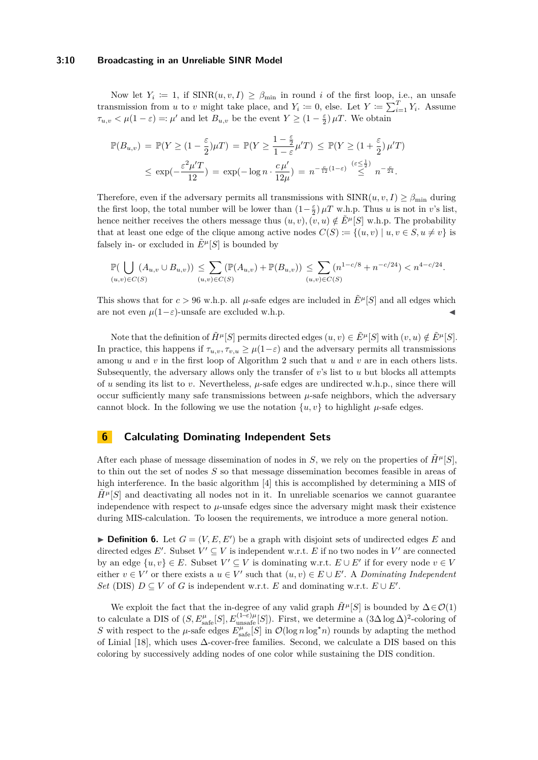#### **3:10 Broadcasting in an Unreliable SINR Model**

Now let  $Y_i \coloneqq 1$ , if  $\text{SINR}(u, v, I) \geq \beta_{\text{min}}$  in round *i* of the first loop, i.e., an unsafe transmission from *u* to *v* might take place, and  $Y_i \coloneqq 0$ , else. Let  $Y \coloneqq \sum_{i=1}^T Y_i$ . Assume  $\tau_{u,v} < \mu(1-\varepsilon) =: \mu'$  and let  $B_{u,v}$  be the event  $Y \geq (1-\frac{\varepsilon}{2}) \mu T$ . We obtain

$$
\mathbb{P}(B_{u,v}) = \mathbb{P}(Y \ge (1 - \frac{\varepsilon}{2})\mu T) = \mathbb{P}(Y \ge \frac{1 - \frac{\varepsilon}{2}}{1 - \varepsilon}\mu' T) \le \mathbb{P}(Y \ge (1 + \frac{\varepsilon}{2})\mu' T)
$$
  

$$
\le \exp(-\frac{\varepsilon^2 \mu' T}{12}) = \exp(-\log n \cdot \frac{c\mu'}{12\mu}) = n^{-\frac{c}{12}(1-\varepsilon)} \stackrel{(\varepsilon \le \frac{1}{2})}{\le} n^{-\frac{c}{24}}.
$$

Therefore, even if the adversary permits all transmissions with  $\text{SINR}(u, v, I) \geq \beta_{\text{min}}$  during the first loop, the total number will be lower than  $(1-\frac{\varepsilon}{2}) \mu T$  w.h.p. Thus *u* is not in *v*'s list, hence neither receives the others message thus  $(u, v), (v, u) \notin \tilde{E}^{\mu}[S]$  w.h.p. The probability that at least one edge of the clique among active nodes  $C(S) := \{(u, v) | u, v \in S, u \neq v\}$  is falsely in- or excluded in  $\tilde{E}^{\mu}[S]$  is bounded by

$$
\mathbb{P}(\bigcup_{(u,v)\in C(S)} (A_{u,v}\cup B_{u,v})) \leq \sum_{(u,v)\in C(S)} (\mathbb{P}(A_{u,v}) + \mathbb{P}(B_{u,v})) \leq \sum_{(u,v)\in C(S)} (n^{1-c/8} + n^{-c/24}) < n^{4-c/24}.
$$

This shows that for  $c > 96$  w.h.p. all  $\mu$ -safe edges are included in  $\tilde{E}^{\mu}[S]$  and all edges which are not even  $\mu(1-\varepsilon)$ -unsafe are excluded w.h.p.

Note that the definition of  $\tilde{H}^{\mu}[S]$  permits directed edges  $(u, v) \in \tilde{E}^{\mu}[S]$  with  $(v, u) \notin \tilde{E}^{\mu}[S]$ . In practice, this happens if  $\tau_{u,v}, \tau_{v,u} \geq \mu(1-\varepsilon)$  and the adversary permits all transmissions among *u* and *v* in the first loop of Algorithm [2](#page-8-0) such that *u* and *v* are in each others lists. Subsequently, the adversary allows only the transfer of *v*'s list to *u* but blocks all attempts of *u* sending its list to *v*. Nevertheless, *µ*-safe edges are undirected w.h.p., since there will occur sufficiently many safe transmissions between  $\mu$ -safe neighbors, which the adversary cannot block. In the following we use the notation  $\{u, v\}$  to highlight  $\mu$ -safe edges.

### <span id="page-9-0"></span>**6 Calculating Dominating Independent Sets**

After each phase of message dissemination of nodes in *S*, we rely on the properties of  $\tilde{H}^{\mu}[S]$ , to thin out the set of nodes *S* so that message dissemination becomes feasible in areas of high interference. In the basic algorithm [\[4\]](#page-15-0) this is accomplished by determining a MIS of  $H^{\mu}[S]$  and deactivating all nodes not in it. In unreliable scenarios we cannot guarantee independence with respect to  $\mu$ -unsafe edges since the adversary might mask their existence during MIS-calculation. To loosen the requirements, we introduce a more general notion.

**Definition 6.** Let  $G = (V, E, E')$  be a graph with disjoint sets of undirected edges E and directed edges  $E'$ . Subset  $V' \subseteq V$  is independent w.r.t.  $E$  if no two nodes in  $V'$  are connected by an edge  $\{u, v\} \in E$ . Subset  $V' \subseteq V$  is dominating w.r.t.  $E \cup E'$  if for every node  $v \in V$ either  $v \in V'$  or there exists a  $u \in V'$  such that  $(u, v) \in E \cup E'$ . A *Dominating Independent Set* (DIS)  $D \subseteq V$  of *G* is independent w.r.t. *E* and dominating w.r.t.  $E \cup E'$ .

We exploit the fact that the in-degree of any valid graph  $\tilde{H}^{\mu}[S]$  is bounded by  $\Delta \in \mathcal{O}(1)$ to calculate a DIS of  $(S, E_{\text{safe}}^{\mu}[S], E_{\text{unsafe}}^{(1-\varepsilon)\mu}[S])$ . First, we determine a  $(3\Delta \log \Delta)^2$ -coloring of *S* with respect to the  $\mu$ -safe edges  $E_{\text{safe}}^{\mu}[S]$  in  $\mathcal{O}(\log n \log^* n)$  rounds by adapting the method of Linial [\[18\]](#page-16-12), which uses ∆-cover-free families. Second, we calculate a DIS based on this coloring by successively adding nodes of one color while sustaining the DIS condition.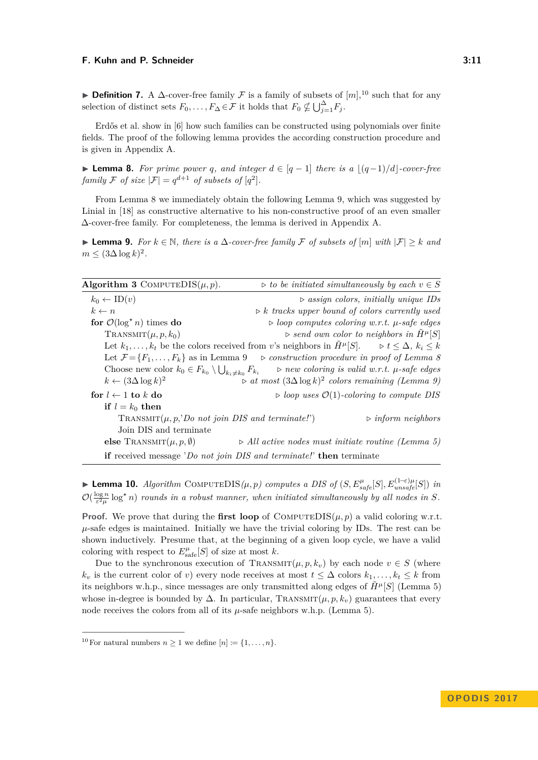**Definition 7.** A  $\Delta$ -cover-free family  $\mathcal F$  is a family of subsets of  $[m],^{10}$  $[m],^{10}$  $[m],^{10}$  such that for any selection of distinct sets  $F_0, \ldots, F_{\Delta} \in \mathcal{F}$  it holds that  $F_0 \nsubseteq \bigcup_{j=1}^{\Delta} F_j$ .

Erdős et al. show in [\[6\]](#page-15-9) how such families can be constructed using polynomials over finite fields. The proof of the following lemma provides the according construction procedure and is given in Appendix [A.](#page-17-3)

<span id="page-10-1"></span>**► Lemma 8.** For prime power q, and integer  $d \in [q-1]$  there is a  $|(q-1)/d|$ -cover-free *family* F *of size*  $|\mathcal{F}| = q^{d+1}$  *of subsets of*  $[q^2]$ *.* 

From Lemma [8](#page-10-1) we immediately obtain the following Lemma [9,](#page-10-2) which was suggested by Linial in [\[18\]](#page-16-12) as constructive alternative to his non-constructive proof of an even smaller ∆-cover-free family. For completeness, the lemma is derived in Appendix [A.](#page-17-3)

<span id="page-10-2"></span>**► Lemma 9.** For  $k \in \mathbb{N}$ , there is a  $\Delta$ -cover-free family F of subsets of  $[m]$  with  $|\mathcal{F}| \geq k$  and  $m \leq (3\Delta \log k)^2$ .

| Algorithm 3 COMPUTEDIS $(\mu, p)$ .                                         | $\triangleright$ to be initiated simultaneously by each $v \in S$                                                                  |
|-----------------------------------------------------------------------------|------------------------------------------------------------------------------------------------------------------------------------|
| $k_0 \leftarrow \text{ID}(v)$                                               | $\triangleright$ assign colors, initially unique IDs                                                                               |
| $k \leftarrow n$                                                            | $\triangleright k$ tracks upper bound of colors currently used                                                                     |
| for $\mathcal{O}(\log^* n)$ times do                                        | $\triangleright$ loop computes coloring w.r.t. $\mu$ -safe edges                                                                   |
| $\text{TRANSMIT}(\mu, p, k_0)$                                              | $\triangleright$ send own color to neighbors in $\tilde{H}^{\mu}[S]$                                                               |
|                                                                             | Let $k_1, \ldots, k_t$ be the colors received from v's neighbors in $\tilde{H}^{\mu}[S]$ . $\Rightarrow t \leq \Delta, k_i \leq k$ |
|                                                                             | Let $\mathcal{F} = \{F_1, \ldots, F_k\}$ as in Lemma 9 $\Rightarrow$ construction procedure in proof of Lemma 8                    |
| Choose new color $k_0 \in F_{k_0} \setminus \bigcup_{k_i \neq k_0} F_{k_i}$ | $\triangleright$ new coloring is valid w.r.t. $\mu$ -safe edges                                                                    |
| $k \leftarrow (3\Delta \log k)^2$                                           | $\triangleright$ at most $(3\Delta \log k)^2$ colors remaining (Lemma 9)                                                           |
| for $l \leftarrow 1$ to k do                                                | $\triangleright$ loop uses $\mathcal{O}(1)$ -coloring to compute DIS                                                               |
| if $l = k_0$ then                                                           |                                                                                                                                    |
| TRANSMIT $(\mu, p, \text{'}Do\;not\;join\;DIS\;and\;terminate!)$            | $\triangleright$ inform neighbors                                                                                                  |
| Join DIS and terminate                                                      |                                                                                                                                    |
| else TRANSMIT $(\mu, p, \emptyset)$                                         | $\triangleright$ All active nodes must initiate routine (Lemma 5)                                                                  |
| if received message 'Do not join DIS and terminate!' then terminate         |                                                                                                                                    |

<span id="page-10-3"></span>► **Lemma 10.** *Algorithm* COMPUTEDIS $(\mu, p)$  computes a DIS of  $(S, E_{safe}^{\mu}[S], E_{unsafe}^{(1-\epsilon)\mu}[S])$  in  $\mathcal{O}(\frac{\log n}{\varepsilon^2 \mu} \log^{\star} n)$  rounds in a robust manner, when initiated simultaneously by all nodes in S.

**Proof.** We prove that during the **first loop** of  $COMPUTEDIS(\mu, p)$  a valid coloring w.r.t.  $\mu$ -safe edges is maintained. Initially we have the trivial coloring by IDs. The rest can be shown inductively. Presume that, at the beginning of a given loop cycle, we have a valid coloring with respect to  $E_{\text{safe}}^{\mu}[S]$  of size at most *k*.

Due to the synchronous execution of TRANSMIT $(\mu, p, k_v)$  by each node  $v \in S$  (where  $k_v$  is the current color of *v*) every node receives at most  $t \leq \Delta$  colors  $k_1, \ldots, k_t \leq k$  from its neighbors w.h.p., since messages are only transmitted along edges of  $\tilde{H}^{\mu}[S]$  (Lemma [5\)](#page-8-1) whose in-degree is bounded by  $\Delta$ . In particular, TRANSMIT( $\mu$ ,  $p$ ,  $k_v$ ) guarantees that every node receives the colors from all of its *µ*-safe neighbors w.h.p. (Lemma [5\)](#page-8-1).

<span id="page-10-0"></span><sup>&</sup>lt;sup>10</sup> For natural numbers  $n \geq 1$  we define  $[n] := \{1, \ldots, n\}.$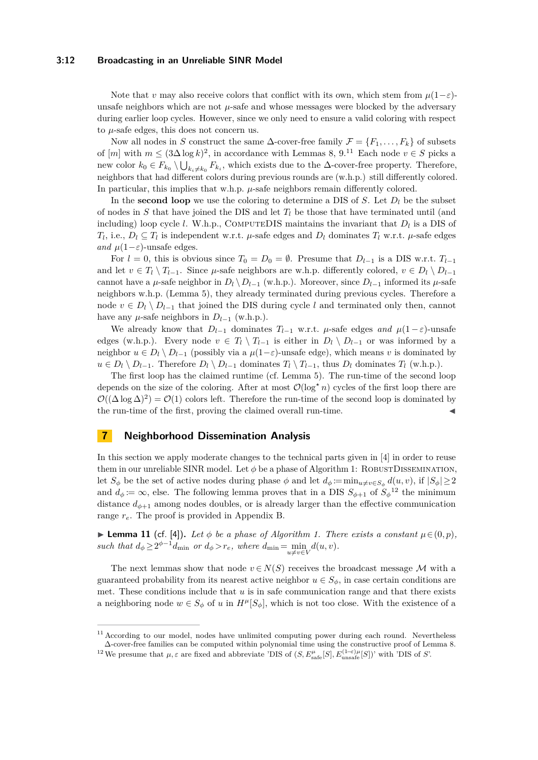#### **3:12 Broadcasting in an Unreliable SINR Model**

Note that *v* may also receive colors that conflict with its own, which stem from  $\mu(1-\varepsilon)$ unsafe neighbors which are not *µ*-safe and whose messages were blocked by the adversary during earlier loop cycles. However, since we only need to ensure a valid coloring with respect to *µ*-safe edges, this does not concern us.

Now all nodes in *S* construct the same  $\Delta$ -cover-free family  $\mathcal{F} = \{F_1, \ldots, F_k\}$  of subsets of  $[m]$  with  $m \leq (3\Delta \log k)^2$ , in accordance with Lemmas [8,](#page-10-1) [9.](#page-10-2)<sup>[11](#page-11-2)</sup> Each node  $v \in S$  picks a new color  $k_0 \in F_{k_0} \setminus \bigcup_{k_i \neq k_0} F_{k_i}$ , which exists due to the ∆-cover-free property. Therefore, neighbors that had different colors during previous rounds are (w.h.p.) still differently colored. In particular, this implies that w.h.p.  $\mu$ -safe neighbors remain differently colored.

In the **second loop** we use the coloring to determine a DIS of *S*. Let  $D_l$  be the subset of nodes in  $S$  that have joined the DIS and let  $T_l$  be those that have terminated until (and including) loop cycle *l*. W.h.p., COMPUTEDIS maintains the invariant that  $D_l$  is a DIS of *T*<sub>l</sub>, i.e.,  $D_l \subseteq T_l$  is independent w.r.t. *µ*-safe edges and  $D_l$  dominates  $T_l$  w.r.t. *µ*-safe edges *and*  $\mu(1-\varepsilon)$ -unsafe edges.

For  $l = 0$ , this is obvious since  $T_0 = D_0 = \emptyset$ . Presume that  $D_{l-1}$  is a DIS w.r.t.  $T_{l-1}$ and let  $v \in T_l \setminus T_{l-1}$ . Since  $\mu$ -safe neighbors are w.h.p. differently colored,  $v \in D_l \setminus D_{l-1}$ cannot have a  $\mu$ -safe neighbor in  $D_l \setminus D_{l-1}$  (w.h.p.). Moreover, since  $D_{l-1}$  informed its  $\mu$ -safe neighbors w.h.p. (Lemma [5\)](#page-8-1), they already terminated during previous cycles. Therefore a node  $v ∈ D_l \setminus D_{l-1}$  that joined the DIS during cycle *l* and terminated only then, cannot have any  $\mu$ -safe neighbors in  $D_{l-1}$  (w.h.p.).

We already know that  $D_{l-1}$  dominates  $T_{l-1}$  w.r.t.  $\mu$ -safe edges and  $\mu(1-\varepsilon)$ -unsafe edges (w.h.p.). Every node  $v \in T_l \setminus T_{l-1}$  is either in  $D_l \setminus D_{l-1}$  or was informed by a neighbor  $u \in D_l \setminus D_{l-1}$  (possibly via a  $\mu(1-\varepsilon)$ -unsafe edge), which means *v* is dominated by *u* ∈ *D*<sup>*l*</sup>  $\setminus$  *D*<sub>*l*−1</sub>. Therefore *D*<sup>*l*</sup>  $\setminus$  *D*<sub>*l*−1</sub> dominates *T*<sub>*l*</sub>  $\setminus$  *T*<sub>*l*−1</sub>, thus *D*<sub>*l*</sub> dominates *T*<sub>*l*</sub> (w.h.p.).

The first loop has the claimed runtime (cf. Lemma [5\)](#page-8-1). The run-time of the second loop depends on the size of the coloring. After at most  $\mathcal{O}(\log^* n)$  cycles of the first loop there are  $\mathcal{O}((\Delta \log \Delta)^2) = \mathcal{O}(1)$  colors left. Therefore the run-time of the second loop is dominated by the run-time of the first, proving the claimed overall run-time.

# <span id="page-11-1"></span>**7 Neighborhood Dissemination Analysis**

In this section we apply moderate changes to the technical parts given in [\[4\]](#page-15-0) in order to reuse them in our unreliable SINR model. Let  $\phi$  be a phase of Algorithm [1:](#page-6-2) ROBUST DISSEMINATION, let  $S_{\phi}$  be the set of active nodes during phase  $\phi$  and let  $d_{\phi} := \min_{u \neq v \in S_{\phi}} d(u, v)$ , if  $|S_{\phi}| \geq 2$ and  $d_{\phi} \coloneqq \infty$ , else. The following lemma proves that in a DIS  $S_{\phi+1}$  of  $S_{\phi}^{12}$  $S_{\phi}^{12}$  $S_{\phi}^{12}$  the minimum distance  $d_{\phi+1}$  among nodes doubles, or is already larger than the effective communication range *re*. The proof is provided in Appendix [B.](#page-17-4)

<span id="page-11-0"></span>**► Lemma 11** (cf. [\[4\]](#page-15-0)). Let  $\phi$  be a phase of Algorithm [1.](#page-6-2) There exists a constant  $\mu \in (0, p)$ , *such that*  $d_{\phi} \geq 2^{\phi-1}d_{\text{min}}$  *or*  $d_{\phi} > r_e$ *, where*  $d_{\text{min}} = \min_{u \neq v \in V} d(u, v)$ *.* 

The next lemmas show that node  $v \in N(S)$  receives the broadcast message M with a guaranteed probability from its nearest active neighbor  $u \in S_\phi$ , in case certain conditions are met. These conditions include that *u* is in safe communication range and that there exists a neighboring node  $w \in S_\phi$  of *u* in  $H^\mu[S_\phi]$ , which is not too close. With the existence of a

<span id="page-11-2"></span><sup>&</sup>lt;sup>11</sup> According to our model, nodes have unlimited computing power during each round. Nevertheless ∆-cover-free families can be computed within polynomial time using the constructive proof of Lemma [8.](#page-10-1)

<span id="page-11-3"></span><sup>&</sup>lt;sup>12</sup> We presume that  $\mu, \varepsilon$  are fixed and abbreviate 'DIS of  $(S, E_{\text{safe}}^{\mu}[S], E_{\text{unsafe}}^{(1-\varepsilon)\mu}[S])$ ' with 'DIS of *S*'.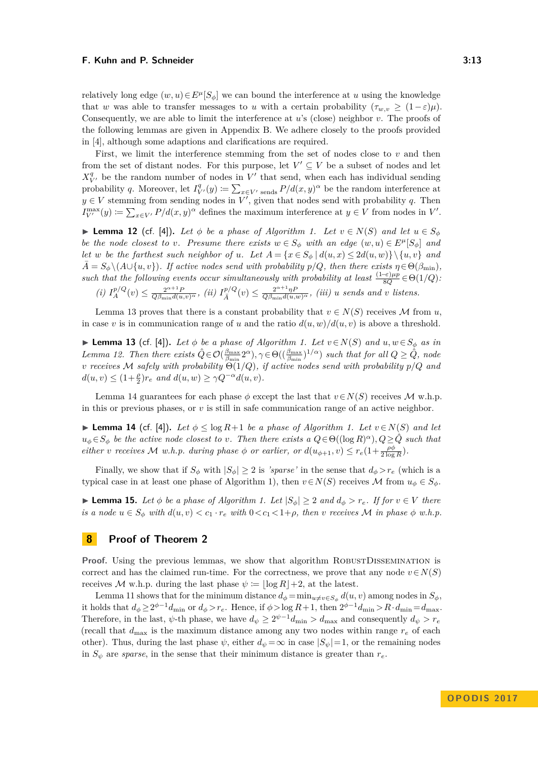relatively long edge  $(w, u) \in E^{\mu}[S_{\phi}]$  we can bound the interference at *u* using the knowledge that *w* was able to transfer messages to *u* with a certain probability  $(\tau_{w,v} \geq (1-\varepsilon)\mu)$ . Consequently, we are able to limit the interference at *u*'s (close) neighbor *v*. The proofs of the following lemmas are given in Appendix [B.](#page-17-4) We adhere closely to the proofs provided in [\[4\]](#page-15-0), although some adaptions and clarifications are required.

First, we limit the interference stemming from the set of nodes close to *v* and then from the set of distant nodes. For this purpose, let  $V' \subseteq V$  be a subset of nodes and let  $X_{V}^{q}$  be the random number of nodes in  $V'$  that send, when each has individual sending probability *q*. Moreover, let  $I_{V'}^q(y) := \sum_{x \in V'} \text{seads } P/d(x, y)^\alpha$  be the random interference at  $y \in V$  stemming from sending nodes in  $V'$ , given that nodes send with probability *q*. Then  $I_{V'}^{\max}(y) := \sum_{x \in V'} P/d(x, y)^{\alpha}$  defines the maximum interference at  $y \in V$  from nodes in *V*'.

<span id="page-12-3"></span>**► Lemma 12** (cf. [\[4\]](#page-15-0)). Let  $\phi$  be a phase of Algorithm [1.](#page-6-2) Let  $v \in N(S)$  and let  $u \in S_{\phi}$ *be the node closest to v. Presume there exists*  $w \in S_\phi$  *with an edge*  $(w, u) \in E^\mu[S_\phi]$  *and let w be the farthest such neighbor of <i>u.* Let  $A = \{x \in S_\phi \mid d(u, x) \leq 2d(u, w)\}\$  and  $\overline{A} = S_{\phi} \setminus (A \cup \{u, v\})$ . If active nodes send with probability  $p/Q$ , then there exists  $\eta \in \Theta(\beta_{\min})$ , *such that the following events occur simultaneously with probability at least*  $\frac{(1-\varepsilon)\mu p}{8Q} \in \Theta(1/Q)$ .

(i) 
$$
I_A^{p/Q}(v) \leq \frac{2^{\alpha+1}P}{Q\beta_{\min}d(u,v)^\alpha}
$$
, (ii)  $I_{\bar{A}}^{p/Q}(v) \leq \frac{2^{\alpha+1}\eta P}{Q\beta_{\min}d(u,v)^\alpha}$ , (iii) u sends and v listens.

Lemma [13](#page-12-1) proves that there is a constant probability that  $v \in N(S)$  receives M from *u*, in case *v* is in communication range of *u* and the ratio  $d(u, w)/d(u, v)$  is above a threshold.

<span id="page-12-1"></span>▶ **Lemma 13** (cf. [\[4\]](#page-15-0)). Let  $\phi$  be a phase of Algorithm [1.](#page-6-2) Let  $v \in N(S)$  and  $u, w \in S_{\phi}$  as in *Lemma* [12.](#page-12-3) *Then there exists*  $\hat{Q} \in \mathcal{O}(\frac{\beta_{\max}}{\beta_{\min}} 2^{\alpha})$ ,  $\gamma \in \Theta((\frac{\beta_{\max}}{\beta_{\min}})^{1/\alpha})$  *such that for all*  $Q \geq \hat{Q}$ *, node v receives* M *safely with probability* Θ(1*/Q*)*, if active nodes send with probability p/Q and*  $d(u, v) \leq (1 + \frac{\rho}{2})r_e$  *and*  $d(u, w) \geq \gamma Q^{-\alpha}d(u, v)$ *.* 

Lemma [14](#page-12-2) guarantees for each phase  $\phi$  except the last that  $v \in N(S)$  receives M w.h.p. in this or previous phases, or *v* is still in safe communication range of an active neighbor.

<span id="page-12-2"></span>**► Lemma 14** (cf. [\[4\]](#page-15-0)). Let  $\phi \leq \log R + 1$  be a phase of Algorithm [1.](#page-6-2) Let  $v \in N(S)$  and let  $u_{\phi} \in S_{\phi}$  *be the active node closest to v. Then there exists a*  $Q \in \Theta((\log R)^{\alpha}), Q \geq \hat{Q}$  *such that either v receives*  $M$  *w.h.p.* during phase  $\phi$  *or earlier, or*  $d(u_{\phi+1}, v) \leq r_e(1 + \frac{\rho \phi}{2 \log R})$ *.* 

Finally, we show that if  $S_\phi$  with  $|S_\phi| \geq 2$  is *'sparse'* in the sense that  $d_\phi > r_e$  (which is a typical case in at least one phase of Algorithm [1\)](#page-6-2), then  $v \in N(S)$  receives M from  $u_{\phi} \in S_{\phi}$ .

<span id="page-12-4"></span>► **Lemma 15.** *Let*  $\phi$  *be a phase of Algorithm [1.](#page-6-2) Let*  $|S_{\phi}| \geq 2$  *and*  $d_{\phi} > r_e$ *. If for*  $v \in V$  *there* is a node  $u \in S_{\phi}$  with  $d(u, v) < c_1 \cdot r_e$  with  $0 < c_1 < 1 + \rho$ , then v receives M in phase  $\phi$  w.h.p.

### <span id="page-12-0"></span>**8 Proof of Theorem [2](#page-7-3)**

**Proof.** Using the previous lemmas, we show that algorithm ROBUSTDISSEMINATION is correct and has the claimed run-time. For the correctness, we prove that any node  $v \in N(S)$ receives M w.h.p. during the last phase  $\psi := |\log R| + 2$ , at the latest.

Lemma [11](#page-11-0) shows that for the minimum distance  $d_{\phi} = \min_{u \neq v \in S_{\phi}} d(u, v)$  among nodes in  $S_{\phi}$ , it holds that  $d_{\phi} \geq 2^{\phi-1}d_{\text{min}}$  or  $d_{\phi} > r_e$ . Hence, if  $\phi > \log R + 1$ , then  $2^{\phi-1}d_{\text{min}} > R \cdot d_{\text{min}} = d_{\text{max}}$ . Therefore, in the last,  $\psi$ -th phase, we have  $d_{\psi} \geq 2^{\psi-1} d_{\min} > d_{\max}$  and consequently  $d_{\psi} > r_e$ (recall that  $d_{\text{max}}$  is the maximum distance among any two nodes within range  $r_e$  of each other). Thus, during the last phase  $\psi$ , either  $d_{\psi} = \infty$  in case  $|S_{\psi}| = 1$ , or the remaining nodes in  $S_{\psi}$  are *sparse*, in the sense that their minimum distance is greater than  $r_e$ .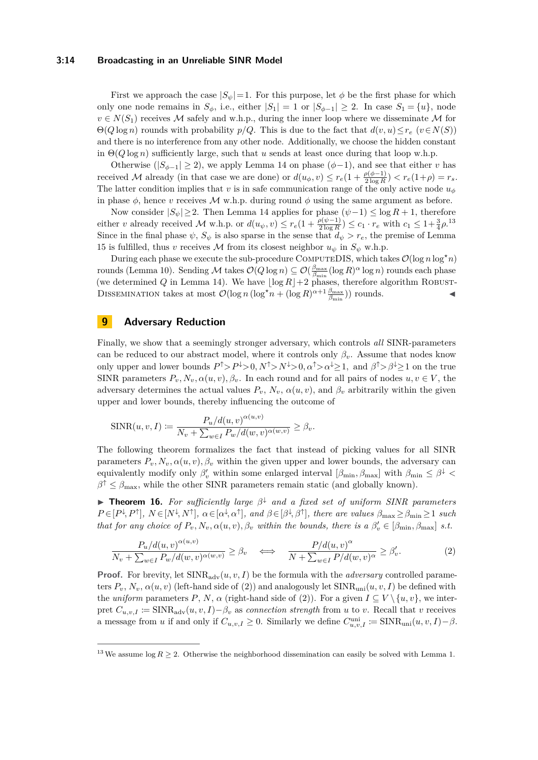#### **3:14 Broadcasting in an Unreliable SINR Model**

First we approach the case  $|S_{\psi}|=1$ . For this purpose, let  $\phi$  be the first phase for which only one node remains in  $S_\phi$ , i.e., either  $|S_1| = 1$  or  $|S_{\phi-1}| \geq 2$ . In case  $S_1 = \{u\}$ , node  $v \in N(S_1)$  receives M safely and w.h.p., during the inner loop where we disseminate M for  $\Theta(Q \log n)$  rounds with probability  $p/Q$ . This is due to the fact that  $d(v, u) \leq r_e$  ( $v \in N(S)$ ) and there is no interference from any other node. Additionally, we choose the hidden constant in  $\Theta(Q \log n)$  sufficiently large, such that *u* sends at least once during that loop w.h.p.

Otherwise ( $|S_{\phi-1}| \geq 2$ ), we apply Lemma [14](#page-12-2) on phase ( $\phi$ -1), and see that either *v* has received M already (in that case we are done) or  $d(u_{\phi}, v) \le r_e(1 + \frac{\rho(\phi - 1)}{2 \log R}) < r_e(1 + \rho) = r_s$ . The latter condition implies that *v* is in safe communication range of the only active node  $u_{\phi}$ in phase  $\phi$ , hence *v* receives M w.h.p. during round  $\phi$  using the same argument as before.

Now consider  $|S_{\psi}| \geq 2$ . Then Lemma [14](#page-12-2) applies for phase  $(\psi - 1) \leq \log R + 1$ , therefore either *v* already received *M* w.h.p. or  $d(u_{\psi}, v) \leq r_e(1 + \frac{\rho(\psi - 1)}{2 \log R}) \leq c_1 \cdot r_e$  with  $c_1 \leq 1 + \frac{3}{4}\rho$ .<sup>[13](#page-13-1)</sup> Since in the final phase  $\psi$ ,  $S_{\psi}$  is also sparse in the sense that  $d_{\psi} > r_e$ , the premise of Lemma [15](#page-12-4) is fulfilled, thus *v* receives  $M$  from its closest neighbor  $u_{\psi}$  in  $S_{\psi}$  w.h.p.

During each phase we execute the sub-procedure COMPUTEDIS, which takes  $\mathcal{O}(\log n \log^* n)$ rounds (Lemma [10\)](#page-10-3). Sending  $M$  takes  $\mathcal{O}(Q \log n) \subseteq \mathcal{O}(\frac{\beta_{\max}}{\beta_{\min}} (\log R)^{\alpha} \log n)$  rounds each phase (we determined *Q* in Lemma [14\)](#page-12-2). We have  $\log R$  + 2 phases, therefore algorithm ROBUST-DISSEMINATION takes at most  $\mathcal{O}(\log n (\log^* n + (\log R)^{\alpha+1} \frac{\beta_{\max}}{\beta_{\min}}))$  rounds.

# <span id="page-13-0"></span>**9 Adversary Reduction**

Finally, we show that a seemingly stronger adversary, which controls *all* SINR-parameters can be reduced to our abstract model, where it controls only  $\beta_v$ . Assume that nodes know only upper and lower bounds  $P^{\uparrow} > P^{\downarrow} > 0, N^{\uparrow} > N^{\downarrow} > 0, \alpha^{\uparrow} > \alpha^{\downarrow} \geq 1$ , and  $\beta^{\uparrow} > \beta^{\downarrow} \geq 1$  on the true SINR parameters  $P_v, N_v, \alpha(u, v), \beta_v$ . In each round and for all pairs of nodes  $u, v \in V$ , the adversary determines the actual values  $P_v$ ,  $N_v$ ,  $\alpha(u, v)$ , and  $\beta_v$  arbitrarily within the given upper and lower bounds, thereby influencing the outcome of

$$
\text{SINR}(u, v, I) := \frac{P_u/d(u, v)^{\alpha(u, v)}}{N_v + \sum_{w \in I} P_w/d(w, v)^{\alpha(w, v)}} \ge \beta_v.
$$

The following theorem formalizes the fact that instead of picking values for all SINR parameters  $P_v$ ,  $N_v$ ,  $\alpha(u, v)$ ,  $\beta_v$  within the given upper and lower bounds, the adversary can equivalently modify only  $\beta'_v$  within some enlarged interval  $[\beta_{\min}, \beta_{\max}]$  with  $\beta_{\min} \leq \beta^{\downarrow}$  $\beta^{\uparrow} \leq \beta_{\text{max}}$ , while the other SINR parameters remain static (and globally known).

<span id="page-13-3"></span>I **Theorem 16.** *For sufficiently large β* <sup>↓</sup> *and a fixed set of uniform SINR parameters*  $P \in [P^{\downarrow}, P^{\uparrow}], N \in [N^{\downarrow}, N^{\uparrow}], \alpha \in [\alpha^{\downarrow}, \alpha^{\uparrow}],$  and  $\beta \in [\beta^{\downarrow}, \beta^{\uparrow}],$  there are values  $\beta_{\max} \geq \beta_{\min} \geq 1$  such *that for any choice of*  $P_v$ *, N<sub>v</sub>,*  $\alpha(u, v)$ *,*  $\beta_v$  *within the bounds, there is a*  $\beta'_v \in [\beta_{\min}, \beta_{\max}]$  *s.t.* 

<span id="page-13-2"></span>
$$
\frac{P_u/d(u,v)^{\alpha(u,v)}}{N_v + \sum_{w \in I} P_w/d(w,v)^{\alpha(w,v)}} \ge \beta_v \quad \Longleftrightarrow \quad \frac{P/d(u,v)^{\alpha}}{N + \sum_{w \in I} P/d(w,v)^{\alpha}} \ge \beta'_v.
$$
\n(2)

**Proof.** For brevity, let  $SINR_{adv}(u, v, I)$  be the formula with the *adversary* controlled parameters  $P_v$ ,  $N_v$ ,  $\alpha(u, v)$  (left-hand side of [\(2\)](#page-13-2)) and analogously let  $SINR_{uni}(u, v, I)$  be defined with the *uniform* parameters *P*, *N*,  $\alpha$  (right-hand side of [\(2\)](#page-13-2)). For a given  $I \subseteq V \setminus \{u, v\}$ , we interpret  $C_{u,v,I} := \text{SINR}_{adv}(u, v, I) - \beta_v$  as *connection strength* from *u* to *v*. Recall that *v* receives a message from *u* if and only if  $C_{u,v,I} \geq 0$ . Similarly we define  $C_{u,v,I}^{\text{uni}} \coloneqq \text{SINR}_{\text{uni}}(u, v, I) - \beta$ .

<span id="page-13-1"></span><sup>&</sup>lt;sup>13</sup>We assume log  $R \ge 2$ . Otherwise the neighborhood dissemination can easily be solved with Lemma [1.](#page-5-0)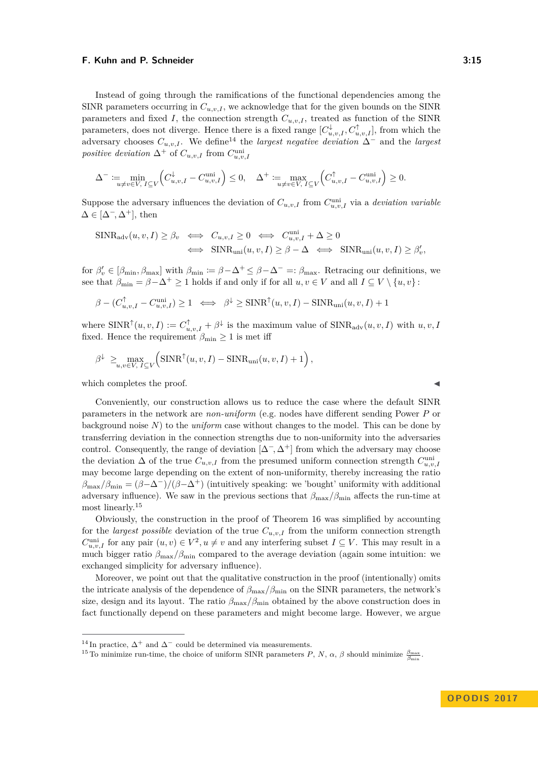Instead of going through the ramifications of the functional dependencies among the SINR parameters occurring in  $C_{u,v,I}$ , we acknowledge that for the given bounds on the SINR parameters and fixed *I*, the connection strength  $C_{u,v,I}$ , treated as function of the SINR parameters, does not diverge. Hence there is a fixed range  $[C_{u,v,I}^{\downarrow}, C_{u,v,I}^{\uparrow}]$ , from which the adversary chooses  $C_{u,v,I}$ . We define<sup>[14](#page-14-0)</sup> the *largest negative deviation*  $\Delta^-$  and the *largest positive deviation*  $\Delta^+$  of  $C_{u,v,I}$  from  $C_{u,v,I}^{\text{uni}}$ 

$$
\Delta^- := \min_{u \neq v \in V, I \subseteq V} \left( C_{u,v,I}^{\downarrow} - C_{u,v,I}^{\text{uni}} \right) \le 0, \quad \Delta^+ := \max_{u \neq v \in V, I \subseteq V} \left( C_{u,v,I}^{\uparrow} - C_{u,v,I}^{\text{uni}} \right) \ge 0.
$$

Suppose the adversary influences the deviation of  $C_{u,v,I}$  from  $C_{u,v,I}^{\text{uni}}$  via a *deviation variable*  $\Delta \in [\Delta^-, \Delta^+]$ , then

$$
\begin{aligned} \text{SINR}_{\text{adv}}(u, v, I) &\geq \beta_v \iff C_{u, v, I} \geq 0 \iff C_{u, v, I}^{\text{uni}} + \Delta \geq 0 \\ &\iff \text{SINR}_{\text{uni}}(u, v, I) \geq \beta - \Delta \iff \text{SINR}_{\text{uni}}(u, v, I) \geq \beta_v', \end{aligned}
$$

for  $\beta'_v \in [\beta_{\min}, \beta_{\max}]$  with  $\beta_{\min} \coloneqq \beta - \Delta^+ \leq \beta - \Delta^- =: \beta_{\max}$ . Retracing our definitions, we see that  $\beta_{\min} = \beta - \Delta^+ \ge 1$  holds if and only if for all  $u, v \in V$  and all  $I \subseteq V \setminus \{u, v\}$ :

$$
\beta - (C_{u,v,I}^{\uparrow} - C_{u,v,I}^{\text{uni}}) \ge 1 \iff \beta^{\downarrow} \ge \text{SINR}^{\uparrow}(u, v, I) - \text{SINR}_{\text{uni}}(u, v, I) + 1
$$

where  $\text{SINR}^{\uparrow}(u, v, I) := C_{u, v, I}^{\uparrow} + \beta^{\downarrow}$  is the maximum value of  $\text{SINR}_{\text{adv}}(u, v, I)$  with  $u, v, I$ fixed. Hence the requirement  $\beta_{\min} \geq 1$  is met iff

$$
\beta^{\downarrow} \geq \max_{u,v \in V, I \subseteq V} \left( \text{SINR}^{\uparrow}(u,v,I) - \text{SINR}_{\text{uni}}(u,v,I) + 1 \right),
$$

which completes the proof.  $\blacksquare$ 

Conveniently, our construction allows us to reduce the case where the default SINR parameters in the network are *non-uniform* (e.g. nodes have different sending Power *P* or background noise *N*) to the *uniform* case without changes to the model. This can be done by transferring deviation in the connection strengths due to non-uniformity into the adversaries control. Consequently, the range of deviation  $[\Delta^-, \Delta^+]$  from which the adversary may choose the deviation  $\Delta$  of the true  $C_{u,v,I}$  from the presumed uniform connection strength  $C_{u,v,I}^{\text{uni}}$ may become large depending on the extent of non-uniformity, thereby increasing the ratio  $\beta_{\text{max}}/\beta_{\text{min}} = (\beta - \Delta^{-})/(\beta - \Delta^{+})$  (intuitively speaking: we 'bought' uniformity with additional adversary influence). We saw in the previous sections that  $\beta_{\text{max}}/\beta_{\text{min}}$  affects the run-time at most linearly.<sup>[15](#page-14-1)</sup>

Obviously, the construction in the proof of Theorem [16](#page-13-3) was simplified by accounting for the *largest possible* deviation of the true  $C_{u,v,I}$  from the uniform connection strength  $C_{u,v,I}^{\text{uni}}$  for any pair  $(u, v) \in V^2, u \neq v$  and any interfering subset  $I \subseteq V$ . This may result in a much bigger ratio  $\beta_{\text{max}}/\beta_{\text{min}}$  compared to the average deviation (again some intuition: we exchanged simplicity for adversary influence).

Moreover, we point out that the qualitative construction in the proof (intentionally) omits the intricate analysis of the dependence of  $\beta_{\rm max}/\beta_{\rm min}$  on the SINR parameters, the network's size, design and its layout. The ratio  $\beta_{\text{max}}/\beta_{\text{min}}$  obtained by the above construction does in fact functionally depend on these parameters and might become large. However, we argue

<span id="page-14-0"></span><sup>&</sup>lt;sup>14</sup> In practice,  $\Delta^+$  and  $\Delta^-$  could be determined via measurements.

<span id="page-14-1"></span><sup>&</sup>lt;sup>15</sup> To minimize run-time, the choice of uniform SINR parameters *P*, *N*,  $\alpha$ ,  $\beta$  should minimize  $\frac{\beta_{\text{max}}}{\beta_{\text{min}}}$ .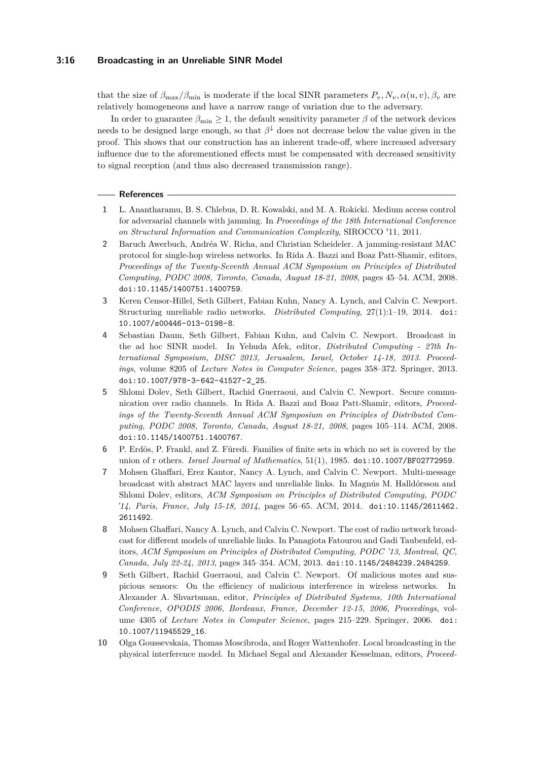#### **3:16 Broadcasting in an Unreliable SINR Model**

that the size of  $\beta_{\text{max}}/\beta_{\text{min}}$  is moderate if the local SINR parameters  $P_v, N_v, \alpha(u, v), \beta_v$  are relatively homogeneous and have a narrow range of variation due to the adversary.

In order to guarantee  $\beta_{\min} \geq 1$ , the default sensitivity parameter  $\beta$  of the network devices needs to be designed large enough, so that *β* <sup>↓</sup> does not decrease below the value given in the proof. This shows that our construction has an inherent trade-off, where increased adversary influence due to the aforementioned effects must be compensated with decreased sensitivity to signal reception (and thus also decreased transmission range).

#### **References**

- <span id="page-15-4"></span>**1** L. Anantharamu, B. S. Chlebus, D. R. Kowalski, and M. A. Rokicki. Medium access control for adversarial channels with jamming. In *Proceedings of the 18th International Conference on Structural Information and Communication Complexity*, SIROCCO '11, 2011.
- <span id="page-15-5"></span>**2** Baruch Awerbuch, Andréa W. Richa, and Christian Scheideler. A jamming-resistant MAC protocol for single-hop wireless networks. In Rida A. Bazzi and Boaz Patt-Shamir, editors, *Proceedings of the Twenty-Seventh Annual ACM Symposium on Principles of Distributed Computing, PODC 2008, Toronto, Canada, August 18-21, 2008*, pages 45–54. ACM, 2008. [doi:10.1145/1400751.1400759](http://dx.doi.org/10.1145/1400751.1400759).
- <span id="page-15-8"></span>**3** Keren Censor-Hillel, Seth Gilbert, Fabian Kuhn, Nancy A. Lynch, and Calvin C. Newport. Structuring unreliable radio networks. *Distributed Computing*, 27(1):1–19, 2014. [doi:](http://dx.doi.org/10.1007/s00446-013-0198-8) [10.1007/s00446-013-0198-8](http://dx.doi.org/10.1007/s00446-013-0198-8).
- <span id="page-15-0"></span>**4** Sebastian Daum, Seth Gilbert, Fabian Kuhn, and Calvin C. Newport. Broadcast in the ad hoc SINR model. In Yehuda Afek, editor, *Distributed Computing - 27th International Symposium, DISC 2013, Jerusalem, Israel, October 14-18, 2013. Proceedings*, volume 8205 of *Lecture Notes in Computer Science*, pages 358–372. Springer, 2013. [doi:10.1007/978-3-642-41527-2\\_25](http://dx.doi.org/10.1007/978-3-642-41527-2_25).
- <span id="page-15-6"></span>**5** Shlomi Dolev, Seth Gilbert, Rachid Guerraoui, and Calvin C. Newport. Secure communication over radio channels. In Rida A. Bazzi and Boaz Patt-Shamir, editors, *Proceedings of the Twenty-Seventh Annual ACM Symposium on Principles of Distributed Computing, PODC 2008, Toronto, Canada, August 18-21, 2008*, pages 105–114. ACM, 2008. [doi:10.1145/1400751.1400767](http://dx.doi.org/10.1145/1400751.1400767).
- <span id="page-15-9"></span>**6** P. Erdös, P. Frankl, and Z. Füredi. Families of finite sets in which no set is covered by the union of r others. *Israel Journal of Mathematics*, 51(1), 1985. [doi:10.1007/BF02772959](http://dx.doi.org/10.1007/BF02772959).
- <span id="page-15-2"></span>**7** Mohsen Ghaffari, Erez Kantor, Nancy A. Lynch, and Calvin C. Newport. Multi-message broadcast with abstract MAC layers and unreliable links. In Magnús M. Halldórsson and Shlomi Dolev, editors, *ACM Symposium on Principles of Distributed Computing, PODC '14, Paris, France, July 15-18, 2014*, pages 56–65. ACM, 2014. [doi:10.1145/2611462.](http://dx.doi.org/10.1145/2611462.2611492) [2611492](http://dx.doi.org/10.1145/2611462.2611492).
- <span id="page-15-3"></span>**8** Mohsen Ghaffari, Nancy A. Lynch, and Calvin C. Newport. The cost of radio network broadcast for different models of unreliable links. In Panagiota Fatourou and Gadi Taubenfeld, editors, *ACM Symposium on Principles of Distributed Computing, PODC '13, Montreal, QC, Canada, July 22-24, 2013*, pages 345–354. ACM, 2013. [doi:10.1145/2484239.2484259](http://dx.doi.org/10.1145/2484239.2484259).
- <span id="page-15-7"></span>**9** Seth Gilbert, Rachid Guerraoui, and Calvin C. Newport. Of malicious motes and suspicious sensors: On the efficiency of malicious interference in wireless networks. In Alexander A. Shvartsman, editor, *Principles of Distributed Systems, 10th International Conference, OPODIS 2006, Bordeaux, France, December 12-15, 2006, Proceedings*, volume 4305 of *Lecture Notes in Computer Science*, pages 215–229. Springer, 2006. [doi:](http://dx.doi.org/10.1007/11945529_16) [10.1007/11945529\\_16](http://dx.doi.org/10.1007/11945529_16).
- <span id="page-15-1"></span>**10** Olga Goussevskaia, Thomas Moscibroda, and Roger Wattenhofer. Local broadcasting in the physical interference model. In Michael Segal and Alexander Kesselman, editors, *Proceed-*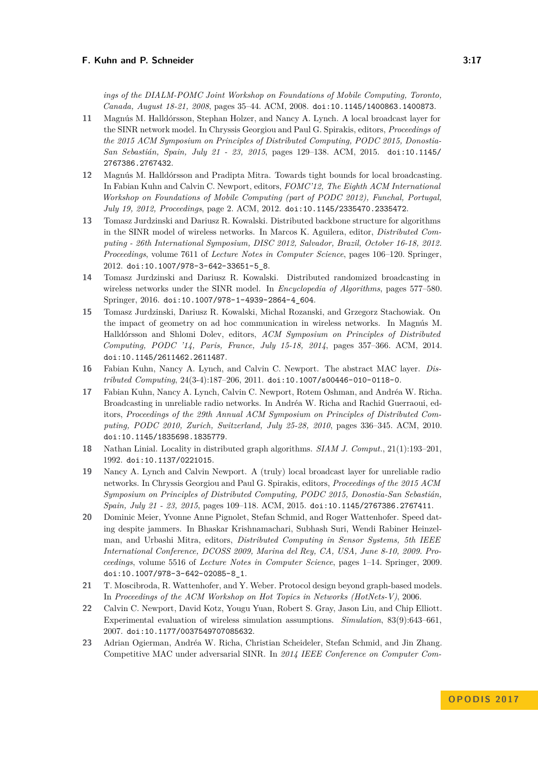*ings of the DIALM-POMC Joint Workshop on Foundations of Mobile Computing, Toronto, Canada, August 18-21, 2008*, pages 35–44. ACM, 2008. [doi:10.1145/1400863.1400873](http://dx.doi.org/10.1145/1400863.1400873).

- <span id="page-16-5"></span>**11** Magnús M. Halldórsson, Stephan Holzer, and Nancy A. Lynch. A local broadcast layer for the SINR network model. In Chryssis Georgiou and Paul G. Spirakis, editors, *Proceedings of the 2015 ACM Symposium on Principles of Distributed Computing, PODC 2015, Donostia-San Sebastián, Spain, July 21 - 23, 2015*, pages 129–138. ACM, 2015. [doi:10.1145/](http://dx.doi.org/10.1145/2767386.2767432) [2767386.2767432](http://dx.doi.org/10.1145/2767386.2767432).
- <span id="page-16-3"></span>**12** Magnús M. Halldórsson and Pradipta Mitra. Towards tight bounds for local broadcasting. In Fabian Kuhn and Calvin C. Newport, editors, *FOMC'12, The Eighth ACM International Workshop on Foundations of Mobile Computing (part of PODC 2012), Funchal, Portugal, July 19, 2012, Proceedings*, page 2. ACM, 2012. [doi:10.1145/2335470.2335472](http://dx.doi.org/10.1145/2335470.2335472).
- <span id="page-16-1"></span>**13** Tomasz Jurdzinski and Dariusz R. Kowalski. Distributed backbone structure for algorithms in the SINR model of wireless networks. In Marcos K. Aguilera, editor, *Distributed Computing - 26th International Symposium, DISC 2012, Salvador, Brazil, October 16-18, 2012. Proceedings*, volume 7611 of *Lecture Notes in Computer Science*, pages 106–120. Springer, 2012. [doi:10.1007/978-3-642-33651-5\\_8](http://dx.doi.org/10.1007/978-3-642-33651-5_8).
- <span id="page-16-2"></span>**14** Tomasz Jurdzinski and Dariusz R. Kowalski. Distributed randomized broadcasting in wireless networks under the SINR model. In *Encyclopedia of Algorithms*, pages 577–580. Springer, 2016. [doi:10.1007/978-1-4939-2864-4\\_604](http://dx.doi.org/10.1007/978-1-4939-2864-4_604).
- <span id="page-16-4"></span>**15** Tomasz Jurdzinski, Dariusz R. Kowalski, Michal Rozanski, and Grzegorz Stachowiak. On the impact of geometry on ad hoc communication in wireless networks. In Magnús M. Halldórsson and Shlomi Dolev, editors, *ACM Symposium on Principles of Distributed Computing, PODC '14, Paris, France, July 15-18, 2014*, pages 357–366. ACM, 2014. [doi:10.1145/2611462.2611487](http://dx.doi.org/10.1145/2611462.2611487).
- <span id="page-16-6"></span>**16** Fabian Kuhn, Nancy A. Lynch, and Calvin C. Newport. The abstract MAC layer. *Distributed Computing*, 24(3-4):187–206, 2011. [doi:10.1007/s00446-010-0118-0](http://dx.doi.org/10.1007/s00446-010-0118-0).
- <span id="page-16-8"></span>**17** Fabian Kuhn, Nancy A. Lynch, Calvin C. Newport, Rotem Oshman, and Andréa W. Richa. Broadcasting in unreliable radio networks. In Andréa W. Richa and Rachid Guerraoui, editors, *Proceedings of the 29th Annual ACM Symposium on Principles of Distributed Computing, PODC 2010, Zurich, Switzerland, July 25-28, 2010*, pages 336–345. ACM, 2010. [doi:10.1145/1835698.1835779](http://dx.doi.org/10.1145/1835698.1835779).
- <span id="page-16-12"></span>**18** Nathan Linial. Locality in distributed graph algorithms. *SIAM J. Comput.*, 21(1):193–201, 1992. [doi:10.1137/0221015](http://dx.doi.org/10.1137/0221015).
- <span id="page-16-9"></span>**19** Nancy A. Lynch and Calvin Newport. A (truly) local broadcast layer for unreliable radio networks. In Chryssis Georgiou and Paul G. Spirakis, editors, *Proceedings of the 2015 ACM Symposium on Principles of Distributed Computing, PODC 2015, Donostia-San Sebastián, Spain, July 21 - 23, 2015*, pages 109–118. ACM, 2015. [doi:10.1145/2767386.2767411](http://dx.doi.org/10.1145/2767386.2767411).
- <span id="page-16-10"></span>**20** Dominic Meier, Yvonne Anne Pignolet, Stefan Schmid, and Roger Wattenhofer. Speed dating despite jammers. In Bhaskar Krishnamachari, Subhash Suri, Wendi Rabiner Heinzelman, and Urbashi Mitra, editors, *Distributed Computing in Sensor Systems, 5th IEEE International Conference, DCOSS 2009, Marina del Rey, CA, USA, June 8-10, 2009. Proceedings*, volume 5516 of *Lecture Notes in Computer Science*, pages 1–14. Springer, 2009. [doi:10.1007/978-3-642-02085-8\\_1](http://dx.doi.org/10.1007/978-3-642-02085-8_1).
- <span id="page-16-11"></span>**21** T. Moscibroda, R. Wattenhofer, and Y. Weber. Protocol design beyond graph-based models. In *Proceedings of the ACM Workshop on Hot Topics in Networks (HotNets-V)*, 2006.
- <span id="page-16-0"></span>**22** Calvin C. Newport, David Kotz, Yougu Yuan, Robert S. Gray, Jason Liu, and Chip Elliott. Experimental evaluation of wireless simulation assumptions. *Simulation*, 83(9):643–661, 2007. [doi:10.1177/0037549707085632](http://dx.doi.org/10.1177/0037549707085632).
- <span id="page-16-7"></span>**23** Adrian Ogierman, Andréa W. Richa, Christian Scheideler, Stefan Schmid, and Jin Zhang. Competitive MAC under adversarial SINR. In *2014 IEEE Conference on Computer Com-*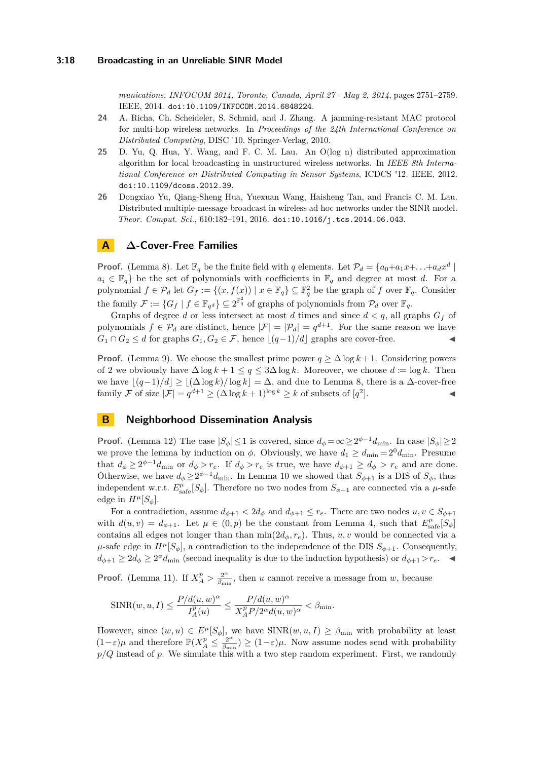*munications, INFOCOM 2014, Toronto, Canada, April 27 - May 2, 2014*, pages 2751–2759. IEEE, 2014. [doi:10.1109/INFOCOM.2014.6848224](http://dx.doi.org/10.1109/INFOCOM.2014.6848224).

- <span id="page-17-2"></span>**24** A. Richa, Ch. Scheideler, S. Schmid, and J. Zhang. A jamming-resistant MAC protocol for multi-hop wireless networks. In *Proceedings of the 24th International Conference on Distributed Computing*, DISC '10. Springer-Verlag, 2010.
- <span id="page-17-0"></span>**25** D. Yu, Q. Hua, Y. Wang, and F. C. M. Lau. An O(log n) distributed approximation algorithm for local broadcasting in unstructured wireless networks. In *IEEE 8th International Conference on Distributed Computing in Sensor Systems*, ICDCS '12. IEEE, 2012. [doi:10.1109/dcoss.2012.39](http://dx.doi.org/10.1109/dcoss.2012.39).
- <span id="page-17-1"></span>**26** Dongxiao Yu, Qiang-Sheng Hua, Yuexuan Wang, Haisheng Tan, and Francis C. M. Lau. Distributed multiple-message broadcast in wireless ad hoc networks under the SINR model. *Theor. Comput. Sci.*, 610:182–191, 2016. [doi:10.1016/j.tcs.2014.06.043](http://dx.doi.org/10.1016/j.tcs.2014.06.043).

# <span id="page-17-3"></span>**A ∆-Cover-Free Families**

**Proof.** (Lemma [8\)](#page-10-1). Let  $\mathbb{F}_q$  be the finite field with *q* elements. Let  $\mathcal{P}_d = \{a_0 + a_1x + \ldots + a_dx^d \mid a_i = a_i + a_1x + \ldots + a_dx^d\}$  $a_i \in \mathbb{F}_q$  be the set of polynomials with coefficients in  $\mathbb{F}_q$  and degree at most *d*. For a polynomial  $f \in \mathcal{P}_d$  let  $G_f := \{(x, f(x)) \mid x \in \mathbb{F}_q\} \subseteq \mathbb{F}_q^2$  be the graph of  $f$  over  $\mathbb{F}_q$ . Consider the family  $\mathcal{F} := \{G_f \mid f \in \mathbb{F}_{q^d}\} \subseteq 2^{\mathbb{F}_q^2}$  of graphs of polynomials from  $\mathcal{P}_d$  over  $\mathbb{F}_q$ .

Graphs of degree *d* or less intersect at most *d* times and since  $d < q$ , all graphs  $G_f$  of polynomials  $f \in \mathcal{P}_d$  are distinct, hence  $|\mathcal{F}| = |\mathcal{P}_d| = q^{d+1}$ . For the same reason we have *G*<sub>1</sub> ∩ *G*<sub>2</sub> ≤ *d* for graphs *G*<sub>1</sub>*, G*<sub>2</sub> ∈ *F,* hence  $|(q-1)/d|$  graphs are cover-free.

**Proof.** (Lemma [9\)](#page-10-2). We choose the smallest prime power  $q \geq \Delta \log k + 1$ . Considering powers of 2 we obviously have  $\Delta \log k + 1 \leq q \leq 3\Delta \log k$ . Moreover, we choose  $d := \log k$ . Then we have  $|(q-1)/d| \ge |(\Delta \log k)/\log k| = \Delta$ , and due to Lemma [8,](#page-10-1) there is a  $\Delta$ -cover-free family F of size  $|\mathcal{F}| = q^{d+1} \geq (\Delta \log k + 1)^{\log k} \geq k$  of subsets of  $[q^2]$ ]. J

## <span id="page-17-4"></span>**B Neighborhood Dissemination Analysis**

**Proof.** (Lemma [12\)](#page-12-3) The case  $|S_{\phi}| \leq 1$  is covered, since  $d_{\phi} = \infty \geq 2^{\phi-1} d_{\min}$ . In case  $|S_{\phi}| \geq 2$ we prove the lemma by induction on  $\phi$ . Obviously, we have  $d_1 \geq d_{\min} = 2^0 d_{\min}$ . Presume that  $d_{\phi} \geq 2^{\phi-1}d_{\min}$  or  $d_{\phi} > r_e$ . If  $d_{\phi} > r_e$  is true, we have  $d_{\phi+1} \geq d_{\phi} > r_e$  and are done. Otherwise, we have  $d_{\phi} \geq 2^{\phi-1} d_{\text{min}}$ . In Lemma [10](#page-10-3) we showed that  $S_{\phi+1}$  is a DIS of  $S_{\phi}$ , thus independent w.r.t.  $E_{\text{safe}}^{\mu}[S_{\phi}]$ . Therefore no two nodes from  $S_{\phi+1}$  are connected via a  $\mu$ -safe edge in  $H^{\mu}[S_{\phi}].$ 

For a contradiction, assume  $d_{\phi+1} < 2d_{\phi}$  and  $d_{\phi+1} \leq r_e$ . There are two nodes  $u, v \in S_{\phi+1}$ with  $d(u, v) = d_{\phi+1}$ . Let  $\mu \in (0, p)$  be the constant from Lemma [4,](#page-8-2) such that  $E_{\text{safe}}^{\mu}[S_{\phi}]$ contains all edges not longer than than  $\min(2d_{\phi}, r_e)$ . Thus, *u*, *v* would be connected via a  $\mu$ -safe edge in  $H^{\mu}[S_{\phi}]$ , a contradiction to the independence of the DIS  $S_{\phi+1}$ . Consequently,  $d_{\phi+1} \geq 2d_{\phi} \geq 2^{\phi}d_{\text{min}}$  (second inequality is due to the induction hypothesis) or  $d_{\phi+1} > r_e$ .

**Proof.** (Lemma [11\)](#page-11-0). If  $X_A^p > \frac{2^{\alpha}}{\beta_{\text{min}}}$  $\frac{2^{a}}{\beta_{\min}}$ , then *u* cannot receive a message from *w*, because

$$
\mathrm{SINR}(w,u,I) \leq \frac{P/d(u,w)^{\alpha}}{I^p_{A}(u)} \leq \frac{P/d(u,w)^{\alpha}}{X^p_{A}P/2^{\alpha}d(u,w)^{\alpha}} < \beta_{\mathrm{min}}.
$$

However, since  $(w, u) \in E^{\mu}[S_{\phi}]$ , we have  $SINR(w, u, I) \geq \beta_{\min}$  with probability at least  $(1-\varepsilon)\mu$  and therefore  $\mathbb{P}(X_A^p \leq \frac{2^{\alpha}}{\beta_{\min}})$  $(\frac{2^{n}}{\beta_{\min}}) \geq (1-\varepsilon)\mu$ . Now assume nodes send with probability *p/Q* instead of *p*. We simulate this with a two step random experiment. First, we randomly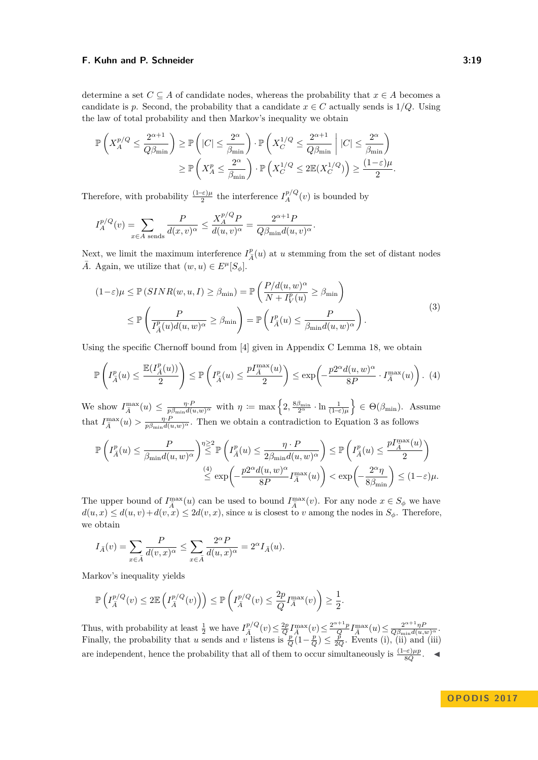determine a set  $C \subseteq A$  of candidate nodes, whereas the probability that  $x \in A$  becomes a candidate is *p*. Second, the probability that a candidate  $x \in C$  actually sends is  $1/Q$ . Using the law of total probability and then Markov's inequality we obtain

$$
\begin{aligned} \mathbb{P}\left(X_A^{p/Q}\leq \frac{2^{\alpha+1}}{Q\beta_{\min}}\right) &\geq \mathbb{P}\left(|C|\leq \frac{2^{\alpha}}{\beta_{\min}}\right)\cdot \mathbb{P}\left(X_C^{1/Q}\leq \frac{2^{\alpha+1}}{Q\beta_{\min}}\;\middle\vert\; |C|\leq \frac{2^{\alpha}}{\beta_{\min}}\right) \\ &\geq \mathbb{P}\left(X_A^p\leq \frac{2^{\alpha}}{\beta_{\min}}\right)\cdot \mathbb{P}\left(X_C^{1/Q}\leq 2\mathbb{E}(X_C^{1/Q})\right) \geq \frac{(1-\varepsilon)\mu}{2}. \end{aligned}
$$

Therefore, with probability  $\frac{(1-\epsilon)\mu}{2}$  the interference  $I_A^{p/Q}(v)$  is bounded by

$$
I_A^{p/Q}(v) = \sum_{x \in A \text{ sends}} \frac{P}{d(x,v)^\alpha} \le \frac{X_A^{p/Q} P}{d(u,v)^\alpha} = \frac{2^{\alpha+1} P}{Q \beta_{\min} d(u,v)^\alpha}
$$

Next, we limit the maximum interference  $I_{\bar{A}}^p(u)$  at *u* stemming from the set of distant nodes  $\overline{A}$ . Again, we utilize that  $(w, u) \in E^{\mu}[S_{\phi}].$ 

<span id="page-18-1"></span><span id="page-18-0"></span>*.*

$$
(1 - \varepsilon)\mu \leq \mathbb{P}\left(SINR(w, u, I)\geq \beta_{\min}\right) = \mathbb{P}\left(\frac{P/d(u, w)^{\alpha}}{N + I_V^p(u)} \geq \beta_{\min}\right)
$$
  

$$
\leq \mathbb{P}\left(\frac{P}{I_{\bar{A}}^p(u)d(u, w)^{\alpha}} \geq \beta_{\min}\right) = \mathbb{P}\left(I_{\bar{A}}^p(u) \leq \frac{P}{\beta_{\min}d(u, w)^{\alpha}}\right).
$$
  
(3)

Using the specific Chernoff bound from [\[4\]](#page-15-0) given in Appendix [C](#page-20-1) Lemma [18,](#page-20-3) we obtain

$$
\mathbb{P}\left(I_{\bar{A}}^p(u) \le \frac{\mathbb{E}(I_{\bar{A}}^p(u))}{2}\right) \le \mathbb{P}\left(I_{\bar{A}}^p(u) \le \frac{pI_{\bar{A}}^{\max}(u)}{2}\right) \le \exp\left(-\frac{p2^{\alpha}d(u,w)^{\alpha}}{8P} \cdot I_{\bar{A}}^{\max}(u)\right). (4)
$$

We show  $I_{\overline{A}}^{\max}(u) \leq \frac{\eta \cdot P}{p \beta_{\min} d(u,w)^{\alpha}}$  with  $\eta := \max \left\{ 2, \frac{8 \beta_{\min}}{2^{\alpha}} \cdot \ln \frac{1}{(1-\epsilon)\mu} \right\} \in \Theta(\beta_{\min}).$  Assume that  $I_{\bar{A}}^{\max}(u) > \frac{\eta \cdot P}{p \beta_{\min} d(u, w)^{\alpha}}$ . Then we obtain a contradiction to Equation [3](#page-18-0) as follows

$$
\mathbb{P}\left(I_{\bar{A}}^p(u) \leq \frac{P}{\beta_{\min}d(u,w)^\alpha}\right) \stackrel{\eta \geq 2}{\leq} \mathbb{P}\left(I_{\bar{A}}^p(u) \leq \frac{\eta \cdot P}{2\beta_{\min}d(u,w)^\alpha}\right) \leq \mathbb{P}\left(I_{\bar{A}}^p(u) \leq \frac{pI_{\bar{A}}^{\max}(u)}{2}\right) \stackrel{(4)}{\leq} \exp\left(-\frac{p2^\alpha d(u,w)^\alpha}{8P}I_{\bar{A}}^{\max}(u)\right) < \exp\left(-\frac{2^\alpha \eta}{8\beta_{\min}}\right) \leq (1-\varepsilon)\mu.
$$

The upper bound of  $I_{\bar{A}}^{\max}(u)$  can be used to bound  $I_{\bar{A}}^{\max}(v)$ . For any node  $x \in S_{\phi}$  we have  $d(u, x) \leq d(u, v) + d(v, x) \leq 2d(v, x)$ , since *u* is closest to *v* among the nodes in  $S_{\phi}$ . Therefore, we obtain

$$
I_{\bar{A}}(v) = \sum_{x \in \bar{A}} \frac{P}{d(v, x)^{\alpha}} \le \sum_{x \in \bar{A}} \frac{2^{\alpha} P}{d(u, x)^{\alpha}} = 2^{\alpha} I_{\bar{A}}(u).
$$

Markov's inequality yields

$$
\mathbb{P}\left(I_{\bar{A}}^{p/Q}(v) \le 2\mathbb{E}\left(I_{\bar{A}}^{p/Q}(v)\right)\right) \le \mathbb{P}\left(I_{\bar{A}}^{p/Q}(v) \le \frac{2p}{Q}I_{\bar{A}}^{\max}(v)\right) \ge \frac{1}{2}.
$$

Thus, with probability at least  $\frac{1}{2}$  we have  $I_{\overline{A}}^{p/Q}(v) \leq \frac{2p}{Q} I_{\overline{A}}^{\max}(v) \leq \frac{2^{\alpha+1}p}{Q} I_{\overline{A}}^{\max}(u) \leq \frac{2^{\alpha+1}\eta P}{Q\beta_{\min}d(u,w)^\alpha}$ . Finally, the probability that *u* sends and *v* listens is  $\frac{p}{Q}(1-\frac{p}{Q}) \leq \frac{p}{2Q}$ . Events (i), (ii) and (iii) are independent, hence the probability that all of them to occur simultaneously is  $\frac{(1-\varepsilon)\mu p}{8Q}$ .  $\blacktriangleleft$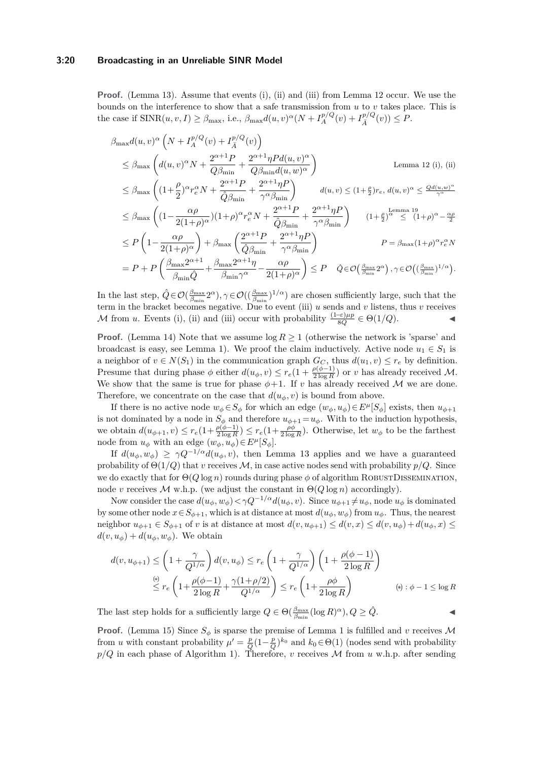#### **3:20 Broadcasting in an Unreliable SINR Model**

**Proof.** (Lemma [13\)](#page-12-1). Assume that events (i), (ii) and (iii) from Lemma [12](#page-12-3) occur. We use the bounds on the interference to show that a safe transmission from *u* to *v* takes place. This is the case if  $\text{SINR}(u, v, I) \geq \beta_{\text{max}}$ , i.e.,  $\beta_{\text{max}}d(u, v)^{\alpha}(N + I_A^{p/Q}(v) + I_{\overline{A}}^{p/Q}(v)) \leq P$ .

$$
\beta_{\max} d(u, v)^{\alpha} \left( N + I_A^{p/Q}(v) + I_A^{p/Q}(v) \right)
$$
\n
$$
\leq \beta_{\max} \left( d(u, v)^{\alpha} N + \frac{2^{\alpha+1} P}{Q \beta_{\min}} + \frac{2^{\alpha+1} \eta P d(u, v)^{\alpha}}{Q \beta_{\min} d(u, w)^{\alpha}} \right)
$$
\n
$$
\leq \beta_{\max} \left( (1 + \frac{\rho}{2})^{\alpha} r_e^{\alpha} N + \frac{2^{\alpha+1} P}{\hat{Q} \beta_{\min}} + \frac{2^{\alpha+1} \eta P}{\gamma^{\alpha} \beta_{\min}} \right) d(u, v) \leq (1 + \frac{\rho}{2}) r_e, d(u, v)^{\alpha} \leq \frac{Q d(u, w)^{\alpha}}{\gamma^{\alpha}}
$$
\n
$$
\leq \beta_{\max} \left( (1 - \frac{\alpha \rho}{2(1 + \rho)^{\alpha}}) (1 + \rho)^{\alpha} r_e^{\alpha} N + \frac{2^{\alpha+1} P}{\hat{Q} \beta_{\min}} + \frac{2^{\alpha+1} \eta P}{\gamma^{\alpha} \beta_{\min}} \right) (1 + \frac{\rho}{2})^{\alpha} \leq (1 + \rho)^{\alpha} - \frac{\alpha \rho}{2}
$$
\n
$$
\leq P \left( 1 - \frac{\alpha \rho}{2(1 + \rho)^{\alpha}} \right) + \beta_{\max} \left( \frac{2^{\alpha+1} P}{\hat{Q} \beta_{\min}} + \frac{2^{\alpha+1} \eta P}{\gamma^{\alpha} \beta_{\min}} \right) P = \beta_{\max} (1 + \rho)^{\alpha} r_e^{\alpha} N
$$
\n
$$
= P + P \left( \frac{\beta_{\max} 2^{\alpha+1}}{\beta_{\min} \hat{Q}} + \frac{\beta_{\max} 2^{\alpha+1} \eta}{\beta_{\min} \gamma^{\alpha}} - \frac{\alpha \rho}{2(1 + \rho)^{\alpha}} \right) \leq P \quad \hat{Q} \in \mathcal{O} \left( \frac{\beta_{\max}}{\beta_{\min}} 2^{\alpha} \right), \gamma \in \mathcal{O} \left( \left( \frac{\beta_{\max}}{\beta_{\min}} \right)^{1/\alpha} \right).
$$

In the last step,  $\hat{Q} \in \mathcal{O}(\frac{\beta_{\text{max}}}{\beta_{\text{min}}} 2^{\alpha}), \gamma \in \mathcal{O}((\frac{\beta_{\text{max}}}{\beta_{\text{min}}})^{1/\alpha})$  are chosen sufficiently large, such that the term in the bracket becomes negative. Due to event (iii) *u* sends and *v* listens, thus *v* receives *M* from *u*. Events (i), (ii) and (iii) occur with probability  $\frac{(1-\epsilon)\mu p}{8Q} \in \Theta(1/Q)$ .

**Proof.** (Lemma [14\)](#page-12-2) Note that we assume  $\log R \geq 1$  (otherwise the network is 'sparse' and broadcast is easy, see Lemma [1\)](#page-5-0). We proof the claim inductively. Active node  $u_1 \in S_1$  is a neighbor of  $v \in N(S_1)$  in the communication graph  $G_C$ , thus  $d(u_1, v) \leq r_e$  by definition. Presume that during phase  $\phi$  either  $d(u_{\phi}, v) \leq r_e(1 + \frac{\rho(\phi - 1)}{2 \log R})$  or *v* has already received M. We show that the same is true for phase  $\phi+1$ . If *v* has already received M we are done. Therefore, we concentrate on the case that  $d(u_{\phi}, v)$  is bound from above.

If there is no active node  $w_{\phi} \in S_{\phi}$  for which an edge  $(w_{\phi}, u_{\phi}) \in E^{\mu}[S_{\phi}]$  exists, then  $u_{\phi+1}$ is not dominated by a node in  $S_{\phi}$  and therefore  $u_{\phi+1} = u_{\phi}$ . With to the induction hypothesis, we obtain  $d(u_{\phi+1}, v) \leq r_e(1 + \frac{\rho(\phi-1)}{2\log R}) \leq r_e(1 + \frac{\rho\phi}{2\log R})$ . Otherwise, let  $w_{\phi}$  to be the farthest node from  $u_{\phi}$  with an edge  $(w_{\phi}, u_{\phi}) \in E^{\mu}[S_{\phi}].$ 

If  $d(u_{\phi}, w_{\phi}) \geq \gamma Q^{-1/\alpha} d(u_{\phi}, v)$ , then Lemma [13](#page-12-1) applies and we have a guaranteed probability of  $\Theta(1/Q)$  that *v* receives M, in case active nodes send with probability  $p/Q$ . Since we do exactly that for  $\Theta(Q \log n)$  rounds during phase  $\phi$  of algorithm ROBUSTDISSEMINATION, node *v* receives *M* w.h.p. (we adjust the constant in  $\Theta(Q \log n)$  accordingly).

Now consider the case  $d(u_{\phi}, w_{\phi}) < \gamma Q^{-1/\alpha} d(u_{\phi}, v)$ . Since  $u_{\phi+1} \neq u_{\phi}$ , node  $u_{\phi}$  is dominated by some other node  $x \in S_{\phi+1}$ , which is at distance at most  $d(u_{\phi}, w_{\phi})$  from  $u_{\phi}$ . Thus, the nearest neighbor  $u_{\phi+1} \in S_{\phi+1}$  of *v* is at distance at most  $d(v, u_{\phi+1}) \leq d(v, x) \leq d(v, u_{\phi}) + d(u_{\phi}, x) \leq$  $d(v, u_{\phi}) + d(u_{\phi}, w_{\phi})$ . We obtain

$$
d(v, u_{\phi+1}) \le \left(1 + \frac{\gamma}{Q^{1/\alpha}}\right) d(v, u_{\phi}) \le r_e \left(1 + \frac{\gamma}{Q^{1/\alpha}}\right) \left(1 + \frac{\rho(\phi-1)}{2\log R}\right)
$$
  

$$
\stackrel{\text{(8)}}{\le} r_e \left(1 + \frac{\rho(\phi-1)}{2\log R} + \frac{\gamma(1+\rho/2)}{Q^{1/\alpha}}\right) \le r_e \left(1 + \frac{\rho\phi}{2\log R}\right) \qquad \text{(9): } \phi - 1 \le \log R
$$

The last step holds for a sufficiently large  $Q \in \Theta(\frac{\beta_{\max}}{\beta_{\min}}(\log R)^{\alpha}), Q \geq \hat{Q}$ .

**Proof.** (Lemma [15\)](#page-12-4) Since  $S_\phi$  is sparse the premise of Lemma [1](#page-5-0) is fulfilled and *v* receives M from *u* with constant probability  $\mu' = \frac{p}{Q}(1-\frac{p}{Q})^{k_0}$  and  $k_0 \in \Theta(1)$  (nodes send with probability  $p/Q$  in each phase of Algorithm [1\)](#page-6-2). Therefore, *v* receives M from *u* w.h.p. after sending